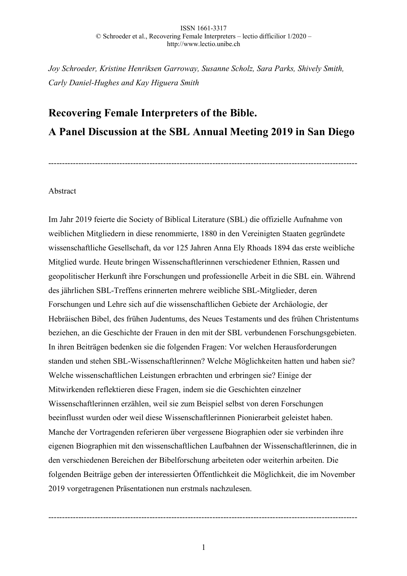*Joy Schroeder, Kristine Henriksen Garroway, Susanne Scholz, Sara Parks, Shively Smith, Carly Daniel-Hughes and Kay Higuera Smith*

# **Recovering Female Interpreters of the Bible. A Panel Discussion at the SBL Annual Meeting 2019 in San Diego**

-----------------------------------------------------------------------------------------------------------------

## Abstract

Im Jahr 2019 feierte die Society of Biblical Literature (SBL) die offizielle Aufnahme von weiblichen Mitgliedern in diese renommierte, 1880 in den Vereinigten Staaten gegründete wissenschaftliche Gesellschaft, da vor 125 Jahren Anna Ely Rhoads 1894 das erste weibliche Mitglied wurde. Heute bringen Wissenschaftlerinnen verschiedener Ethnien, Rassen und geopolitischer Herkunft ihre Forschungen und professionelle Arbeit in die SBL ein. Während des jährlichen SBL-Treffens erinnerten mehrere weibliche SBL-Mitglieder, deren Forschungen und Lehre sich auf die wissenschaftlichen Gebiete der Archäologie, der Hebräischen Bibel, des frühen Judentums, des Neues Testaments und des frühen Christentums beziehen, an die Geschichte der Frauen in den mit der SBL verbundenen Forschungsgebieten. In ihren Beiträgen bedenken sie die folgenden Fragen: Vor welchen Herausforderungen standen und stehen SBL-Wissenschaftlerinnen? Welche Möglichkeiten hatten und haben sie? Welche wissenschaftlichen Leistungen erbrachten und erbringen sie? Einige der Mitwirkenden reflektieren diese Fragen, indem sie die Geschichten einzelner Wissenschaftlerinnen erzählen, weil sie zum Beispiel selbst von deren Forschungen beeinflusst wurden oder weil diese Wissenschaftlerinnen Pionierarbeit geleistet haben. Manche der Vortragenden referieren über vergessene Biographien oder sie verbinden ihre eigenen Biographien mit den wissenschaftlichen Laufbahnen der Wissenschaftlerinnen, die in den verschiedenen Bereichen der Bibelforschung arbeiteten oder weiterhin arbeiten. Die folgenden Beiträge geben der interessierten Öffentlichkeit die Möglichkeit, die im November 2019 vorgetragenen Präsentationen nun erstmals nachzulesen.

-----------------------------------------------------------------------------------------------------------------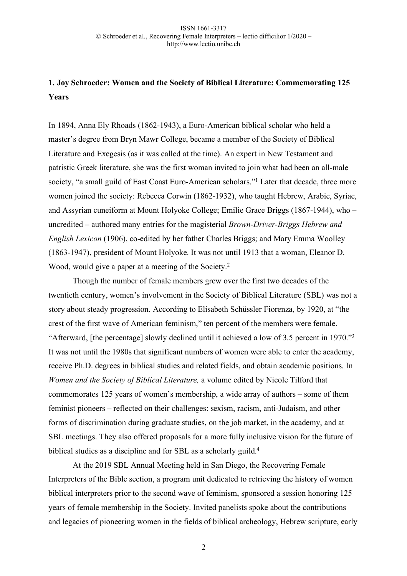# **1. Joy Schroeder: Women and the Society of Biblical Literature: Commemorating 125 Years**

In 1894, Anna Ely Rhoads (1862-1943), a Euro-American biblical scholar who held a master's degree from Bryn Mawr College, became a member of the Society of Biblical Literature and Exegesis (as it was called at the time). An expert in New Testament and patristic Greek literature, she was the first woman invited to join what had been an all-male society, "a small guild of East Coast Euro-American scholars."<sup>1</sup> Later that decade, three more women joined the society: Rebecca Corwin (1862-1932), who taught Hebrew, Arabic, Syriac, and Assyrian cuneiform at Mount Holyoke College; Emilie Grace Briggs (1867-1944), who – uncredited – authored many entries for the magisterial *Brown-Driver-Briggs Hebrew and English Lexicon* (1906), co-edited by her father Charles Briggs; and Mary Emma Woolley (1863-1947), president of Mount Holyoke. It was not until 1913 that a woman, Eleanor D. Wood, would give a paper at a meeting of the Society.<sup>2</sup>

Though the number of female members grew over the first two decades of the twentieth century, women's involvement in the Society of Biblical Literature (SBL) was not a story about steady progression. According to Elisabeth Schüssler Fiorenza, by 1920, at "the crest of the first wave of American feminism," ten percent of the members were female. "Afterward, [the percentage] slowly declined until it achieved a low of 3.5 percent in 1970."3 It was not until the 1980s that significant numbers of women were able to enter the academy, receive Ph.D. degrees in biblical studies and related fields, and obtain academic positions. In *Women and the Society of Biblical Literature,* a volume edited by Nicole Tilford that commemorates 125 years of women's membership, a wide array of authors – some of them feminist pioneers – reflected on their challenges: sexism, racism, anti-Judaism, and other forms of discrimination during graduate studies, on the job market, in the academy, and at SBL meetings. They also offered proposals for a more fully inclusive vision for the future of biblical studies as a discipline and for SBL as a scholarly guild.<sup>4</sup>

At the 2019 SBL Annual Meeting held in San Diego, the Recovering Female Interpreters of the Bible section, a program unit dedicated to retrieving the history of women biblical interpreters prior to the second wave of feminism, sponsored a session honoring 125 years of female membership in the Society. Invited panelists spoke about the contributions and legacies of pioneering women in the fields of biblical archeology, Hebrew scripture, early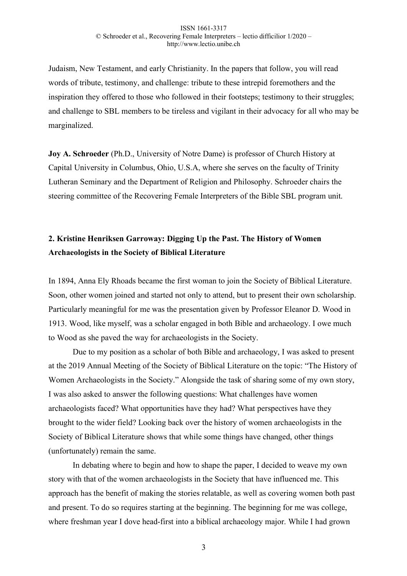Judaism, New Testament, and early Christianity. In the papers that follow, you will read words of tribute, testimony, and challenge: tribute to these intrepid foremothers and the inspiration they offered to those who followed in their footsteps; testimony to their struggles; and challenge to SBL members to be tireless and vigilant in their advocacy for all who may be marginalized.

**Joy A. Schroeder** (Ph.D., University of Notre Dame) is professor of Church History at Capital University in Columbus, Ohio, U.S.A, where she serves on the faculty of Trinity Lutheran Seminary and the Department of Religion and Philosophy. Schroeder chairs the steering committee of the Recovering Female Interpreters of the Bible SBL program unit.

# **2. Kristine Henriksen Garroway: Digging Up the Past. The History of Women Archaeologists in the Society of Biblical Literature**

In 1894, Anna Ely Rhoads became the first woman to join the Society of Biblical Literature. Soon, other women joined and started not only to attend, but to present their own scholarship. Particularly meaningful for me was the presentation given by Professor Eleanor D. Wood in 1913. Wood, like myself, was a scholar engaged in both Bible and archaeology. I owe much to Wood as she paved the way for archaeologists in the Society.

Due to my position as a scholar of both Bible and archaeology, I was asked to present at the 2019 Annual Meeting of the Society of Biblical Literature on the topic: "The History of Women Archaeologists in the Society." Alongside the task of sharing some of my own story, I was also asked to answer the following questions: What challenges have women archaeologists faced? What opportunities have they had? What perspectives have they brought to the wider field? Looking back over the history of women archaeologists in the Society of Biblical Literature shows that while some things have changed, other things (unfortunately) remain the same.

In debating where to begin and how to shape the paper, I decided to weave my own story with that of the women archaeologists in the Society that have influenced me. This approach has the benefit of making the stories relatable, as well as covering women both past and present. To do so requires starting at the beginning. The beginning for me was college, where freshman year I dove head-first into a biblical archaeology major. While I had grown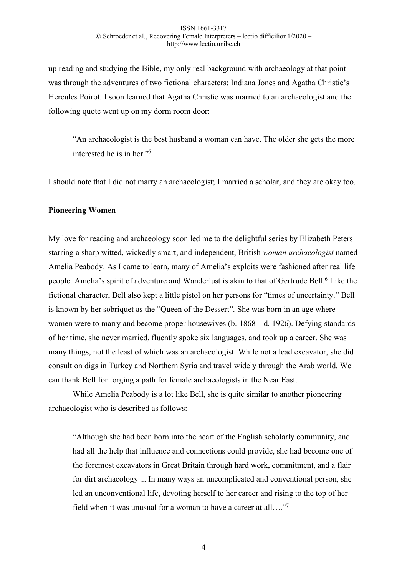up reading and studying the Bible, my only real background with archaeology at that point was through the adventures of two fictional characters: Indiana Jones and Agatha Christie's Hercules Poirot. I soon learned that Agatha Christie was married to an archaeologist and the following quote went up on my dorm room door:

"An archaeologist is the best husband a woman can have. The older she gets the more interested he is in her."5

I should note that I did not marry an archaeologist; I married a scholar, and they are okay too.

### **Pioneering Women**

My love for reading and archaeology soon led me to the delightful series by Elizabeth Peters starring a sharp witted, wickedly smart, and independent, British *woman archaeologist* named Amelia Peabody. As I came to learn, many of Amelia's exploits were fashioned after real life people. Amelia's spirit of adventure and Wanderlust is akin to that of Gertrude Bell.<sup>6</sup> Like the fictional character, Bell also kept a little pistol on her persons for "times of uncertainty." Bell is known by her sobriquet as the "Queen of the Dessert". She was born in an age where women were to marry and become proper housewives (b. 1868 – d. 1926). Defying standards of her time, she never married, fluently spoke six languages, and took up a career. She was many things, not the least of which was an archaeologist. While not a lead excavator, she did consult on digs in Turkey and Northern Syria and travel widely through the Arab world. We can thank Bell for forging a path for female archaeologists in the Near East.

While Amelia Peabody is a lot like Bell, she is quite similar to another pioneering archaeologist who is described as follows:

"Although she had been born into the heart of the English scholarly community, and had all the help that influence and connections could provide, she had become one of the foremost excavators in Great Britain through hard work, commitment, and a flair for dirt archaeology ... In many ways an uncomplicated and conventional person, she led an unconventional life, devoting herself to her career and rising to the top of her field when it was unusual for a woman to have a career at all...."<sup>7</sup>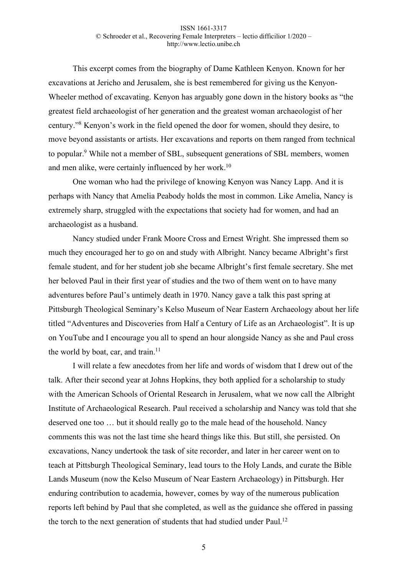This excerpt comes from the biography of Dame Kathleen Kenyon. Known for her excavations at Jericho and Jerusalem, she is best remembered for giving us the Kenyon-Wheeler method of excavating. Kenyon has arguably gone down in the history books as "the greatest field archaeologist of her generation and the greatest woman archaeologist of her century."8 Kenyon's work in the field opened the door for women, should they desire, to move beyond assistants or artists. Her excavations and reports on them ranged from technical to popular.9 While not a member of SBL, subsequent generations of SBL members, women and men alike, were certainly influenced by her work.10

One woman who had the privilege of knowing Kenyon was Nancy Lapp. And it is perhaps with Nancy that Amelia Peabody holds the most in common. Like Amelia, Nancy is extremely sharp, struggled with the expectations that society had for women, and had an archaeologist as a husband.

Nancy studied under Frank Moore Cross and Ernest Wright. She impressed them so much they encouraged her to go on and study with Albright. Nancy became Albright's first female student, and for her student job she became Albright's first female secretary. She met her beloved Paul in their first year of studies and the two of them went on to have many adventures before Paul's untimely death in 1970. Nancy gave a talk this past spring at Pittsburgh Theological Seminary's Kelso Museum of Near Eastern Archaeology about her life titled "Adventures and Discoveries from Half a Century of Life as an Archaeologist". It is up on YouTube and I encourage you all to spend an hour alongside Nancy as she and Paul cross the world by boat, car, and train.<sup>11</sup>

I will relate a few anecdotes from her life and words of wisdom that I drew out of the talk. After their second year at Johns Hopkins, they both applied for a scholarship to study with the American Schools of Oriental Research in Jerusalem, what we now call the Albright Institute of Archaeological Research. Paul received a scholarship and Nancy was told that she deserved one too … but it should really go to the male head of the household. Nancy comments this was not the last time she heard things like this. But still, she persisted. On excavations, Nancy undertook the task of site recorder, and later in her career went on to teach at Pittsburgh Theological Seminary, lead tours to the Holy Lands, and curate the Bible Lands Museum (now the Kelso Museum of Near Eastern Archaeology) in Pittsburgh. Her enduring contribution to academia, however, comes by way of the numerous publication reports left behind by Paul that she completed, as well as the guidance she offered in passing the torch to the next generation of students that had studied under Paul.<sup>12</sup>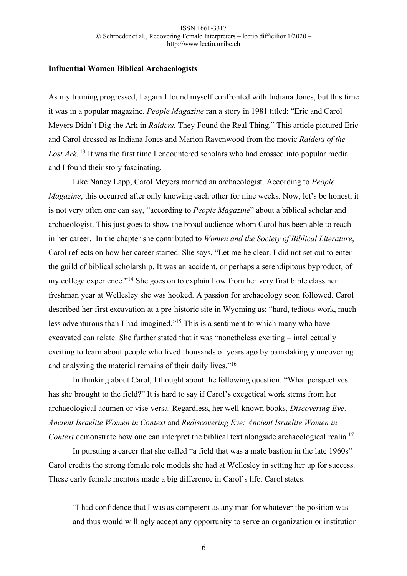### **Influential Women Biblical Archaeologists**

As my training progressed, I again I found myself confronted with Indiana Jones, but this time it was in a popular magazine. *People Magazine* ran a story in 1981 titled: "Eric and Carol Meyers Didn't Dig the Ark in *Raiders*, They Found the Real Thing." This article pictured Eric and Carol dressed as Indiana Jones and Marion Ravenwood from the movie *Raiders of the Lost Ark*. <sup>13</sup> It was the first time I encountered scholars who had crossed into popular media and I found their story fascinating.

Like Nancy Lapp, Carol Meyers married an archaeologist. According to *People Magazine*, this occurred after only knowing each other for nine weeks. Now, let's be honest, it is not very often one can say, "according to *People Magazine*" about a biblical scholar and archaeologist. This just goes to show the broad audience whom Carol has been able to reach in her career. In the chapter she contributed to *Women and the Society of Biblical Literature*, Carol reflects on how her career started. She says, "Let me be clear. I did not set out to enter the guild of biblical scholarship. It was an accident, or perhaps a serendipitous byproduct, of my college experience."14 She goes on to explain how from her very first bible class her freshman year at Wellesley she was hooked. A passion for archaeology soon followed. Carol described her first excavation at a pre-historic site in Wyoming as: "hard, tedious work, much less adventurous than I had imagined."15 This is a sentiment to which many who have excavated can relate. She further stated that it was "nonetheless exciting – intellectually exciting to learn about people who lived thousands of years ago by painstakingly uncovering and analyzing the material remains of their daily lives."16

In thinking about Carol, I thought about the following question. "What perspectives has she brought to the field?" It is hard to say if Carol's exegetical work stems from her archaeological acumen or vise-versa. Regardless, her well-known books, *Discovering Eve: Ancient Israelite Women in Context* and *Rediscovering Eve: Ancient Israelite Women in Context* demonstrate how one can interpret the biblical text alongside archaeological realia.<sup>17</sup>

In pursuing a career that she called "a field that was a male bastion in the late 1960s" Carol credits the strong female role models she had at Wellesley in setting her up for success. These early female mentors made a big difference in Carol's life. Carol states:

"I had confidence that I was as competent as any man for whatever the position was and thus would willingly accept any opportunity to serve an organization or institution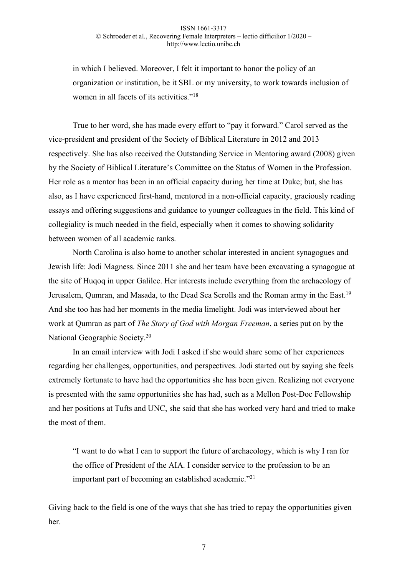in which I believed. Moreover, I felt it important to honor the policy of an organization or institution, be it SBL or my university, to work towards inclusion of women in all facets of its activities."<sup>18</sup>

True to her word, she has made every effort to "pay it forward." Carol served as the vice-president and president of the Society of Biblical Literature in 2012 and 2013 respectively. She has also received the Outstanding Service in Mentoring award (2008) given by the Society of Biblical Literature's Committee on the Status of Women in the Profession. Her role as a mentor has been in an official capacity during her time at Duke; but, she has also, as I have experienced first-hand, mentored in a non-official capacity, graciously reading essays and offering suggestions and guidance to younger colleagues in the field. This kind of collegiality is much needed in the field, especially when it comes to showing solidarity between women of all academic ranks.

North Carolina is also home to another scholar interested in ancient synagogues and Jewish life: Jodi Magness. Since 2011 she and her team have been excavating a synagogue at the site of Huqoq in upper Galilee. Her interests include everything from the archaeology of Jerusalem, Qumran, and Masada, to the Dead Sea Scrolls and the Roman army in the East.19 And she too has had her moments in the media limelight. Jodi was interviewed about her work at Qumran as part of *The Story of God with Morgan Freeman*, a series put on by the National Geographic Society.20

In an email interview with Jodi I asked if she would share some of her experiences regarding her challenges, opportunities, and perspectives. Jodi started out by saying she feels extremely fortunate to have had the opportunities she has been given. Realizing not everyone is presented with the same opportunities she has had, such as a Mellon Post-Doc Fellowship and her positions at Tufts and UNC, she said that she has worked very hard and tried to make the most of them.

"I want to do what I can to support the future of archaeology, which is why I ran for the office of President of the AIA. I consider service to the profession to be an important part of becoming an established academic."21

Giving back to the field is one of the ways that she has tried to repay the opportunities given her.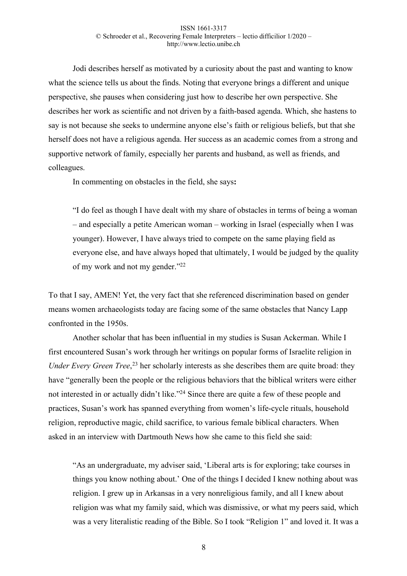Jodi describes herself as motivated by a curiosity about the past and wanting to know what the science tells us about the finds. Noting that everyone brings a different and unique perspective, she pauses when considering just how to describe her own perspective. She describes her work as scientific and not driven by a faith-based agenda. Which, she hastens to say is not because she seeks to undermine anyone else's faith or religious beliefs, but that she herself does not have a religious agenda. Her success as an academic comes from a strong and supportive network of family, especially her parents and husband, as well as friends, and colleagues.

In commenting on obstacles in the field, she says**:** 

"I do feel as though I have dealt with my share of obstacles in terms of being a woman – and especially a petite American woman – working in Israel (especially when I was younger). However, I have always tried to compete on the same playing field as everyone else, and have always hoped that ultimately, I would be judged by the quality of my work and not my gender."22

To that I say, AMEN! Yet, the very fact that she referenced discrimination based on gender means women archaeologists today are facing some of the same obstacles that Nancy Lapp confronted in the 1950s.

Another scholar that has been influential in my studies is Susan Ackerman. While I first encountered Susan's work through her writings on popular forms of Israelite religion in Under Every Green Tree,<sup>23</sup> her scholarly interests as she describes them are quite broad: they have "generally been the people or the religious behaviors that the biblical writers were either not interested in or actually didn't like."<sup>24</sup> Since there are quite a few of these people and practices, Susan's work has spanned everything from women's life-cycle rituals, household religion, reproductive magic, child sacrifice, to various female biblical characters. When asked in an interview with Dartmouth News how she came to this field she said:

"As an undergraduate, my adviser said, 'Liberal arts is for exploring; take courses in things you know nothing about.' One of the things I decided I knew nothing about was religion. I grew up in Arkansas in a very nonreligious family, and all I knew about religion was what my family said, which was dismissive, or what my peers said, which was a very literalistic reading of the Bible. So I took "Religion 1" and loved it. It was a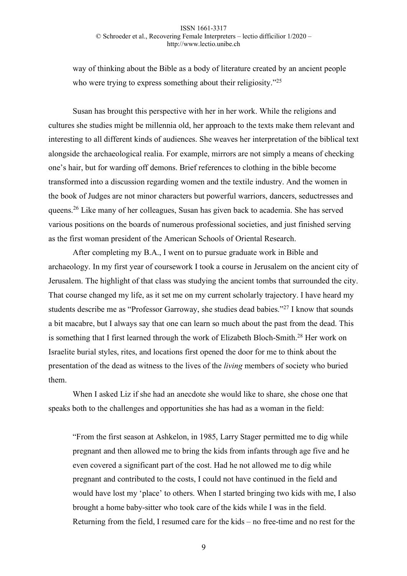way of thinking about the Bible as a body of literature created by an ancient people who were trying to express something about their religiosity."<sup>25</sup>

Susan has brought this perspective with her in her work. While the religions and cultures she studies might be millennia old, her approach to the texts make them relevant and interesting to all different kinds of audiences. She weaves her interpretation of the biblical text alongside the archaeological realia. For example, mirrors are not simply a means of checking one's hair, but for warding off demons. Brief references to clothing in the bible become transformed into a discussion regarding women and the textile industry. And the women in the book of Judges are not minor characters but powerful warriors, dancers, seductresses and queens.26 Like many of her colleagues, Susan has given back to academia. She has served various positions on the boards of numerous professional societies, and just finished serving as the first woman president of the American Schools of Oriental Research.

After completing my B.A., I went on to pursue graduate work in Bible and archaeology. In my first year of coursework I took a course in Jerusalem on the ancient city of Jerusalem. The highlight of that class was studying the ancient tombs that surrounded the city. That course changed my life, as it set me on my current scholarly trajectory. I have heard my students describe me as "Professor Garroway, she studies dead babies."27 I know that sounds a bit macabre, but I always say that one can learn so much about the past from the dead. This is something that I first learned through the work of Elizabeth Bloch-Smith.28 Her work on Israelite burial styles, rites, and locations first opened the door for me to think about the presentation of the dead as witness to the lives of the *living* members of society who buried them.

When I asked Liz if she had an anecdote she would like to share, she chose one that speaks both to the challenges and opportunities she has had as a woman in the field:

"From the first season at Ashkelon, in 1985, Larry Stager permitted me to dig while pregnant and then allowed me to bring the kids from infants through age five and he even covered a significant part of the cost. Had he not allowed me to dig while pregnant and contributed to the costs, I could not have continued in the field and would have lost my 'place' to others. When I started bringing two kids with me, I also brought a home baby-sitter who took care of the kids while I was in the field. Returning from the field, I resumed care for the kids – no free-time and no rest for the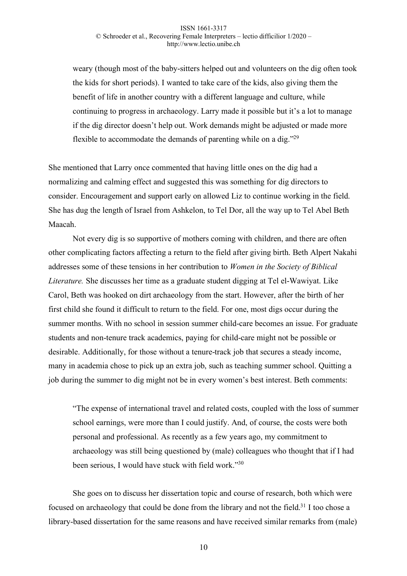weary (though most of the baby-sitters helped out and volunteers on the dig often took the kids for short periods). I wanted to take care of the kids, also giving them the benefit of life in another country with a different language and culture, while continuing to progress in archaeology. Larry made it possible but it's a lot to manage if the dig director doesn't help out. Work demands might be adjusted or made more flexible to accommodate the demands of parenting while on a dig."29

She mentioned that Larry once commented that having little ones on the dig had a normalizing and calming effect and suggested this was something for dig directors to consider. Encouragement and support early on allowed Liz to continue working in the field. She has dug the length of Israel from Ashkelon, to Tel Dor, all the way up to Tel Abel Beth Maacah.

Not every dig is so supportive of mothers coming with children, and there are often other complicating factors affecting a return to the field after giving birth. Beth Alpert Nakahi addresses some of these tensions in her contribution to *Women in the Society of Biblical Literature.* She discusses her time as a graduate student digging at Tel el-Wawiyat. Like Carol, Beth was hooked on dirt archaeology from the start. However, after the birth of her first child she found it difficult to return to the field. For one, most digs occur during the summer months. With no school in session summer child-care becomes an issue. For graduate students and non-tenure track academics, paying for child-care might not be possible or desirable. Additionally, for those without a tenure-track job that secures a steady income, many in academia chose to pick up an extra job, such as teaching summer school. Quitting a job during the summer to dig might not be in every women's best interest. Beth comments:

"The expense of international travel and related costs, coupled with the loss of summer school earnings, were more than I could justify. And, of course, the costs were both personal and professional. As recently as a few years ago, my commitment to archaeology was still being questioned by (male) colleagues who thought that if I had been serious, I would have stuck with field work."30

She goes on to discuss her dissertation topic and course of research, both which were focused on archaeology that could be done from the library and not the field.<sup>31</sup> I too chose a library-based dissertation for the same reasons and have received similar remarks from (male)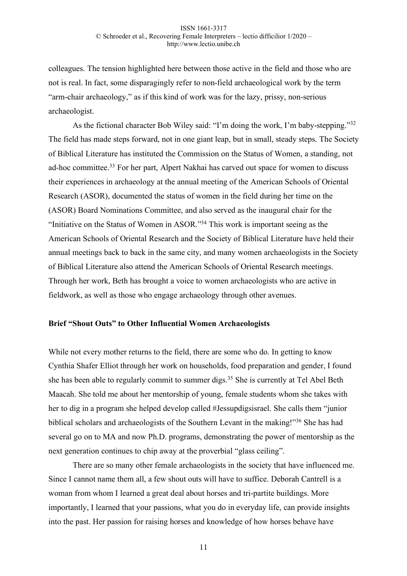colleagues. The tension highlighted here between those active in the field and those who are not is real. In fact, some disparagingly refer to non-field archaeological work by the term "arm-chair archaeology," as if this kind of work was for the lazy, prissy, non-serious archaeologist.

As the fictional character Bob Wiley said: "I'm doing the work, I'm baby-stepping."32 The field has made steps forward, not in one giant leap, but in small, steady steps. The Society of Biblical Literature has instituted the Commission on the Status of Women, a standing, not ad-hoc committee.33 For her part, Alpert Nakhai has carved out space for women to discuss their experiences in archaeology at the annual meeting of the American Schools of Oriental Research (ASOR), documented the status of women in the field during her time on the (ASOR) Board Nominations Committee, and also served as the inaugural chair for the "Initiative on the Status of Women in ASOR."34 This work is important seeing as the American Schools of Oriental Research and the Society of Biblical Literature have held their annual meetings back to back in the same city, and many women archaeologists in the Society of Biblical Literature also attend the American Schools of Oriental Research meetings. Through her work, Beth has brought a voice to women archaeologists who are active in fieldwork, as well as those who engage archaeology through other avenues.

### **Brief "Shout Outs" to Other Influential Women Archaeologists**

While not every mother returns to the field, there are some who do. In getting to know Cynthia Shafer Elliot through her work on households, food preparation and gender, I found she has been able to regularly commit to summer digs.<sup>35</sup> She is currently at Tel Abel Beth Maacah. She told me about her mentorship of young, female students whom she takes with her to dig in a program she helped develop called #Jessupdigsisrael. She calls them "junior biblical scholars and archaeologists of the Southern Levant in the making!"36 She has had several go on to MA and now Ph.D. programs, demonstrating the power of mentorship as the next generation continues to chip away at the proverbial "glass ceiling".

There are so many other female archaeologists in the society that have influenced me. Since I cannot name them all, a few shout outs will have to suffice. Deborah Cantrell is a woman from whom I learned a great deal about horses and tri-partite buildings. More importantly, I learned that your passions, what you do in everyday life, can provide insights into the past. Her passion for raising horses and knowledge of how horses behave have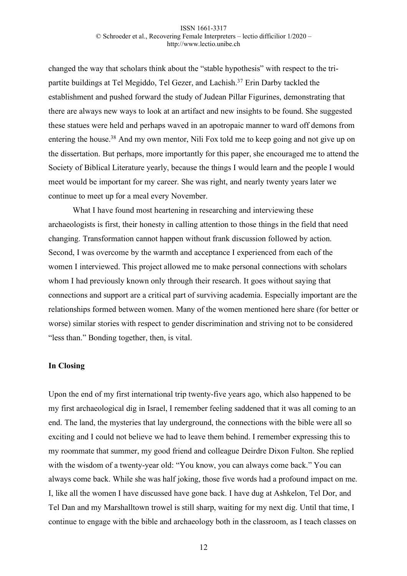changed the way that scholars think about the "stable hypothesis" with respect to the tripartite buildings at Tel Megiddo, Tel Gezer, and Lachish.<sup>37</sup> Erin Darby tackled the establishment and pushed forward the study of Judean Pillar Figurines, demonstrating that there are always new ways to look at an artifact and new insights to be found. She suggested these statues were held and perhaps waved in an apotropaic manner to ward off demons from entering the house.38 And my own mentor, Nili Fox told me to keep going and not give up on the dissertation. But perhaps, more importantly for this paper, she encouraged me to attend the Society of Biblical Literature yearly, because the things I would learn and the people I would meet would be important for my career. She was right, and nearly twenty years later we continue to meet up for a meal every November.

What I have found most heartening in researching and interviewing these archaeologists is first, their honesty in calling attention to those things in the field that need changing. Transformation cannot happen without frank discussion followed by action. Second, I was overcome by the warmth and acceptance I experienced from each of the women I interviewed. This project allowed me to make personal connections with scholars whom I had previously known only through their research. It goes without saying that connections and support are a critical part of surviving academia. Especially important are the relationships formed between women. Many of the women mentioned here share (for better or worse) similar stories with respect to gender discrimination and striving not to be considered "less than." Bonding together, then, is vital.

### **In Closing**

Upon the end of my first international trip twenty-five years ago, which also happened to be my first archaeological dig in Israel, I remember feeling saddened that it was all coming to an end. The land, the mysteries that lay underground, the connections with the bible were all so exciting and I could not believe we had to leave them behind. I remember expressing this to my roommate that summer, my good friend and colleague Deirdre Dixon Fulton. She replied with the wisdom of a twenty-year old: "You know, you can always come back." You can always come back. While she was half joking, those five words had a profound impact on me. I, like all the women I have discussed have gone back. I have dug at Ashkelon, Tel Dor, and Tel Dan and my Marshalltown trowel is still sharp, waiting for my next dig. Until that time, I continue to engage with the bible and archaeology both in the classroom, as I teach classes on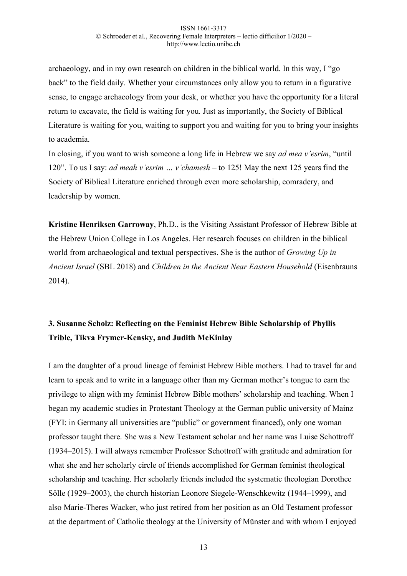archaeology, and in my own research on children in the biblical world. In this way, I "go back" to the field daily. Whether your circumstances only allow you to return in a figurative sense, to engage archaeology from your desk, or whether you have the opportunity for a literal return to excavate, the field is waiting for you. Just as importantly, the Society of Biblical Literature is waiting for you, waiting to support you and waiting for you to bring your insights to academia.

In closing, if you want to wish someone a long life in Hebrew we say *ad mea v'esrim*, "until 120". To us I say: *ad meah v'esrim … v'chamesh –* to 125! May the next 125 years find the Society of Biblical Literature enriched through even more scholarship, comradery, and leadership by women.

**Kristine Henriksen Garroway**, Ph.D., is the Visiting Assistant Professor of Hebrew Bible at the Hebrew Union College in Los Angeles. Her research focuses on children in the biblical world from archaeological and textual perspectives. She is the author of *Growing Up in Ancient Israel* (SBL 2018) and *Children in the Ancient Near Eastern Household* (Eisenbrauns 2014).

# **3. Susanne Scholz: Reflecting on the Feminist Hebrew Bible Scholarship of Phyllis Trible, Tikva Frymer-Kensky, and Judith McKinlay**

I am the daughter of a proud lineage of feminist Hebrew Bible mothers. I had to travel far and learn to speak and to write in a language other than my German mother's tongue to earn the privilege to align with my feminist Hebrew Bible mothers' scholarship and teaching. When I began my academic studies in Protestant Theology at the German public university of Mainz (FYI: in Germany all universities are "public" or government financed), only one woman professor taught there. She was a New Testament scholar and her name was Luise Schottroff (1934–2015). I will always remember Professor Schottroff with gratitude and admiration for what she and her scholarly circle of friends accomplished for German feminist theological scholarship and teaching. Her scholarly friends included the systematic theologian Dorothee Sölle (1929–2003), the church historian Leonore Siegele-Wenschkewitz (1944–1999), and also Marie-Theres Wacker, who just retired from her position as an Old Testament professor at the department of Catholic theology at the University of Münster and with whom I enjoyed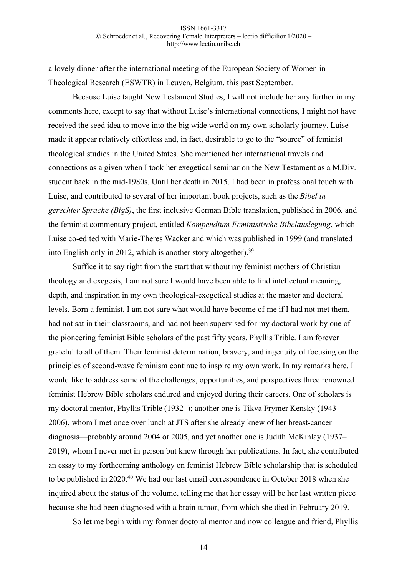a lovely dinner after the international meeting of the European Society of Women in Theological Research (ESWTR) in Leuven, Belgium, this past September.

Because Luise taught New Testament Studies, I will not include her any further in my comments here, except to say that without Luise's international connections, I might not have received the seed idea to move into the big wide world on my own scholarly journey. Luise made it appear relatively effortless and, in fact, desirable to go to the "source" of feminist theological studies in the United States. She mentioned her international travels and connections as a given when I took her exegetical seminar on the New Testament as a M.Div. student back in the mid-1980s. Until her death in 2015, I had been in professional touch with Luise, and contributed to several of her important book projects, such as the *Bibel in gerechter Sprache (BigS)*, the first inclusive German Bible translation, published in 2006, and the feminist commentary project, entitled *Kompendium Feministische Bibelauslegung*, which Luise co-edited with Marie-Theres Wacker and which was published in 1999 (and translated into English only in 2012, which is another story altogether).39

Suffice it to say right from the start that without my feminist mothers of Christian theology and exegesis, I am not sure I would have been able to find intellectual meaning, depth, and inspiration in my own theological-exegetical studies at the master and doctoral levels. Born a feminist, I am not sure what would have become of me if I had not met them, had not sat in their classrooms, and had not been supervised for my doctoral work by one of the pioneering feminist Bible scholars of the past fifty years, Phyllis Trible. I am forever grateful to all of them. Their feminist determination, bravery, and ingenuity of focusing on the principles of second-wave feminism continue to inspire my own work. In my remarks here, I would like to address some of the challenges, opportunities, and perspectives three renowned feminist Hebrew Bible scholars endured and enjoyed during their careers. One of scholars is my doctoral mentor, Phyllis Trible (1932–); another one is Tikva Frymer Kensky (1943– 2006), whom I met once over lunch at JTS after she already knew of her breast-cancer diagnosis—probably around 2004 or 2005, and yet another one is Judith McKinlay (1937– 2019), whom I never met in person but knew through her publications. In fact, she contributed an essay to my forthcoming anthology on feminist Hebrew Bible scholarship that is scheduled to be published in 2020.40 We had our last email correspondence in October 2018 when she inquired about the status of the volume, telling me that her essay will be her last written piece because she had been diagnosed with a brain tumor, from which she died in February 2019.

So let me begin with my former doctoral mentor and now colleague and friend, Phyllis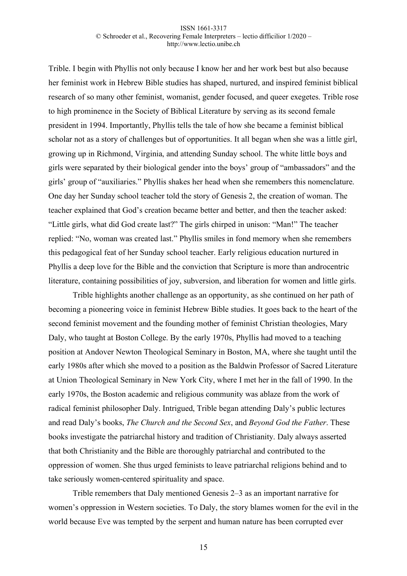Trible. I begin with Phyllis not only because I know her and her work best but also because her feminist work in Hebrew Bible studies has shaped, nurtured, and inspired feminist biblical research of so many other feminist, womanist, gender focused, and queer exegetes. Trible rose to high prominence in the Society of Biblical Literature by serving as its second female president in 1994. Importantly, Phyllis tells the tale of how she became a feminist biblical scholar not as a story of challenges but of opportunities. It all began when she was a little girl, growing up in Richmond, Virginia, and attending Sunday school. The white little boys and girls were separated by their biological gender into the boys' group of "ambassadors" and the girls' group of "auxiliaries." Phyllis shakes her head when she remembers this nomenclature. One day her Sunday school teacher told the story of Genesis 2, the creation of woman. The teacher explained that God's creation became better and better, and then the teacher asked: "Little girls, what did God create last?" The girls chirped in unison: "Man!" The teacher replied: "No, woman was created last." Phyllis smiles in fond memory when she remembers this pedagogical feat of her Sunday school teacher. Early religious education nurtured in Phyllis a deep love for the Bible and the conviction that Scripture is more than androcentric literature, containing possibilities of joy, subversion, and liberation for women and little girls.

Trible highlights another challenge as an opportunity, as she continued on her path of becoming a pioneering voice in feminist Hebrew Bible studies. It goes back to the heart of the second feminist movement and the founding mother of feminist Christian theologies, Mary Daly, who taught at Boston College. By the early 1970s, Phyllis had moved to a teaching position at Andover Newton Theological Seminary in Boston, MA, where she taught until the early 1980s after which she moved to a position as the Baldwin Professor of Sacred Literature at Union Theological Seminary in New York City, where I met her in the fall of 1990. In the early 1970s, the Boston academic and religious community was ablaze from the work of radical feminist philosopher Daly. Intrigued, Trible began attending Daly's public lectures and read Daly's books, *The Church and the Second Sex*, and *Beyond God the Father*. These books investigate the patriarchal history and tradition of Christianity. Daly always asserted that both Christianity and the Bible are thoroughly patriarchal and contributed to the oppression of women. She thus urged feminists to leave patriarchal religions behind and to take seriously women-centered spirituality and space.

Trible remembers that Daly mentioned Genesis 2–3 as an important narrative for women's oppression in Western societies. To Daly, the story blames women for the evil in the world because Eve was tempted by the serpent and human nature has been corrupted ever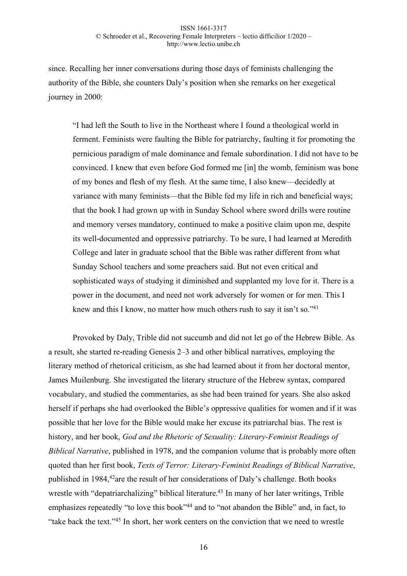since. Recalling her inner conversations during those days of feminists challenging the authority of the Bible, she counters Daly's position when she remarks on her exegetical journey in 2000:

"I had left the South to live in the Northeast where I found a theological world in ferment. Feminists were faulting the Bible for patriarchy, faulting it for promoting the pernicious paradigm of male dominance and female subordination. I did not have to be convinced. I knew that even before God formed me [in] the womb, feminism was bone of my bones and flesh of my flesh. At the same time, I also knew—decidedly at variance with many feminists—that the Bible fed my life in rich and beneficial ways; that the book I had grown up with in Sunday School where sword drills were routine and memory verses mandatory, continued to make a positive claim upon me, despite its well-documented and oppressive patriarchy. To be sure, I had learned at Meredith College and later in graduate school that the Bible was rather different from what Sunday School teachers and some preachers said. But not even critical and sophisticated ways of studying it diminished and supplanted my love for it. There is a power in the document, and need not work adversely for women or for men. This I knew and this I know, no matter how much others rush to say it isn't so."<sup>41</sup>

Provoked by Daly, Trible did not succumb and did not let go of the Hebrew Bible. As a result, she started re-reading Genesis 2–3 and other biblical narratives, employing the literary method of rhetorical criticism, as she had learned about it from her doctoral mentor, James Muilenburg. She investigated the literary structure of the Hebrew syntax, compared vocabulary, and studied the commentaries, as she had been trained for years. She also asked herself if perhaps she had overlooked the Bible's oppressive qualities for women and if it was possible that her love for the Bible would make her excuse its patriarchal bias. The rest is history, and her book, *God and the Rhetoric of Sexuality: Literary-Feminist Readings of Biblical Narrative*, published in 1978, and the companion volume that is probably more often quoted than her first book, *Texts of Terror: Literary-Feminist Readings of Biblical Narrative*, published in 1984,<sup>42</sup>are the result of her considerations of Daly's challenge. Both books wrestle with "depatriarchalizing" biblical literature.<sup>43</sup> In many of her later writings, Trible emphasizes repeatedly "to love this book"<sup>44</sup> and to "not abandon the Bible" and, in fact, to "take back the text."45 In short, her work centers on the conviction that we need to wrestle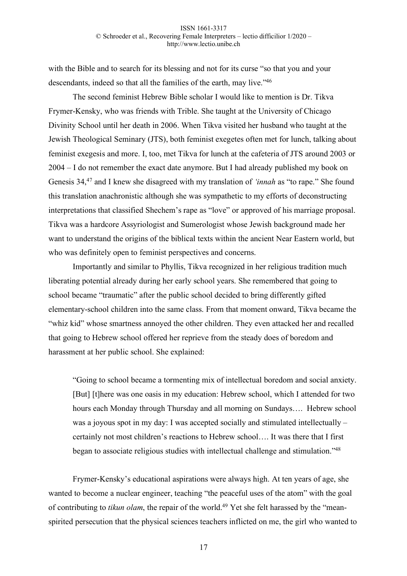with the Bible and to search for its blessing and not for its curse "so that you and your descendants, indeed so that all the families of the earth, may live."46

The second feminist Hebrew Bible scholar I would like to mention is Dr. Tikva Frymer-Kensky, who was friends with Trible. She taught at the University of Chicago Divinity School until her death in 2006. When Tikva visited her husband who taught at the Jewish Theological Seminary (JTS), both feminist exegetes often met for lunch, talking about feminist exegesis and more. I, too, met Tikva for lunch at the cafeteria of JTS around 2003 or 2004 – I do not remember the exact date anymore. But I had already published my book on Genesis 34,47 and I knew she disagreed with my translation of *'innah* as "to rape." She found this translation anachronistic although she was sympathetic to my efforts of deconstructing interpretations that classified Shechem's rape as "love" or approved of his marriage proposal. Tikva was a hardcore Assyriologist and Sumerologist whose Jewish background made her want to understand the origins of the biblical texts within the ancient Near Eastern world, but who was definitely open to feminist perspectives and concerns.

Importantly and similar to Phyllis, Tikva recognized in her religious tradition much liberating potential already during her early school years. She remembered that going to school became "traumatic" after the public school decided to bring differently gifted elementary-school children into the same class. From that moment onward, Tikva became the "whiz kid" whose smartness annoyed the other children. They even attacked her and recalled that going to Hebrew school offered her reprieve from the steady does of boredom and harassment at her public school. She explained:

"Going to school became a tormenting mix of intellectual boredom and social anxiety. [But] [t]here was one oasis in my education: Hebrew school, which I attended for two hours each Monday through Thursday and all morning on Sundays…. Hebrew school was a joyous spot in my day: I was accepted socially and stimulated intellectually – certainly not most children's reactions to Hebrew school…. It was there that I first began to associate religious studies with intellectual challenge and stimulation."48

Frymer-Kensky's educational aspirations were always high. At ten years of age, she wanted to become a nuclear engineer, teaching "the peaceful uses of the atom" with the goal of contributing to *tikun olam*, the repair of the world.<sup>49</sup> Yet she felt harassed by the "meanspirited persecution that the physical sciences teachers inflicted on me, the girl who wanted to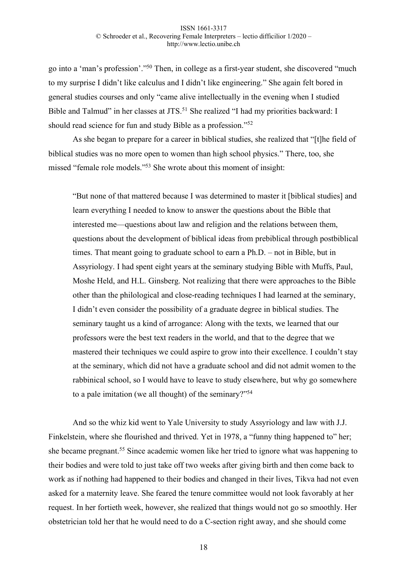go into a 'man's profession'."50 Then, in college as a first-year student, she discovered "much to my surprise I didn't like calculus and I didn't like engineering." She again felt bored in general studies courses and only "came alive intellectually in the evening when I studied Bible and Talmud" in her classes at JTS.<sup>51</sup> She realized "I had my priorities backward: I should read science for fun and study Bible as a profession."52

As she began to prepare for a career in biblical studies, she realized that "[t]he field of biblical studies was no more open to women than high school physics." There, too, she missed "female role models."53 She wrote about this moment of insight:

"But none of that mattered because I was determined to master it [biblical studies] and learn everything I needed to know to answer the questions about the Bible that interested me—questions about law and religion and the relations between them, questions about the development of biblical ideas from prebiblical through postbiblical times. That meant going to graduate school to earn a Ph.D. – not in Bible, but in Assyriology. I had spent eight years at the seminary studying Bible with Muffs, Paul, Moshe Held, and H.L. Ginsberg. Not realizing that there were approaches to the Bible other than the philological and close-reading techniques I had learned at the seminary, I didn't even consider the possibility of a graduate degree in biblical studies. The seminary taught us a kind of arrogance: Along with the texts, we learned that our professors were the best text readers in the world, and that to the degree that we mastered their techniques we could aspire to grow into their excellence. I couldn't stay at the seminary, which did not have a graduate school and did not admit women to the rabbinical school, so I would have to leave to study elsewhere, but why go somewhere to a pale imitation (we all thought) of the seminary?"54

And so the whiz kid went to Yale University to study Assyriology and law with J.J. Finkelstein, where she flourished and thrived. Yet in 1978, a "funny thing happened to" her; she became pregnant.55 Since academic women like her tried to ignore what was happening to their bodies and were told to just take off two weeks after giving birth and then come back to work as if nothing had happened to their bodies and changed in their lives, Tikva had not even asked for a maternity leave. She feared the tenure committee would not look favorably at her request. In her fortieth week, however, she realized that things would not go so smoothly. Her obstetrician told her that he would need to do a C-section right away, and she should come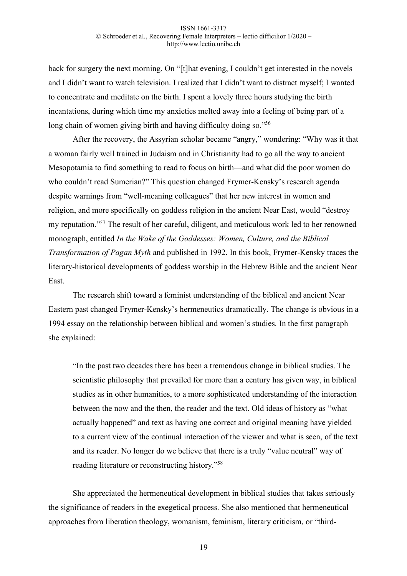back for surgery the next morning. On "[t]hat evening, I couldn't get interested in the novels and I didn't want to watch television. I realized that I didn't want to distract myself; I wanted to concentrate and meditate on the birth. I spent a lovely three hours studying the birth incantations, during which time my anxieties melted away into a feeling of being part of a long chain of women giving birth and having difficulty doing so."<sup>56</sup>

After the recovery, the Assyrian scholar became "angry," wondering: "Why was it that a woman fairly well trained in Judaism and in Christianity had to go all the way to ancient Mesopotamia to find something to read to focus on birth—and what did the poor women do who couldn't read Sumerian?" This question changed Frymer-Kensky's research agenda despite warnings from "well-meaning colleagues" that her new interest in women and religion, and more specifically on goddess religion in the ancient Near East, would "destroy my reputation."57 The result of her careful, diligent, and meticulous work led to her renowned monograph, entitled *In the Wake of the Goddesses: Women, Culture, and the Biblical Transformation of Pagan Myth* and published in 1992. In this book, Frymer-Kensky traces the literary-historical developments of goddess worship in the Hebrew Bible and the ancient Near East.

The research shift toward a feminist understanding of the biblical and ancient Near Eastern past changed Frymer-Kensky's hermeneutics dramatically. The change is obvious in a 1994 essay on the relationship between biblical and women's studies. In the first paragraph she explained:

"In the past two decades there has been a tremendous change in biblical studies. The scientistic philosophy that prevailed for more than a century has given way, in biblical studies as in other humanities, to a more sophisticated understanding of the interaction between the now and the then, the reader and the text. Old ideas of history as "what actually happened" and text as having one correct and original meaning have yielded to a current view of the continual interaction of the viewer and what is seen, of the text and its reader. No longer do we believe that there is a truly "value neutral" way of reading literature or reconstructing history."58

She appreciated the hermeneutical development in biblical studies that takes seriously the significance of readers in the exegetical process. She also mentioned that hermeneutical approaches from liberation theology, womanism, feminism, literary criticism, or "third-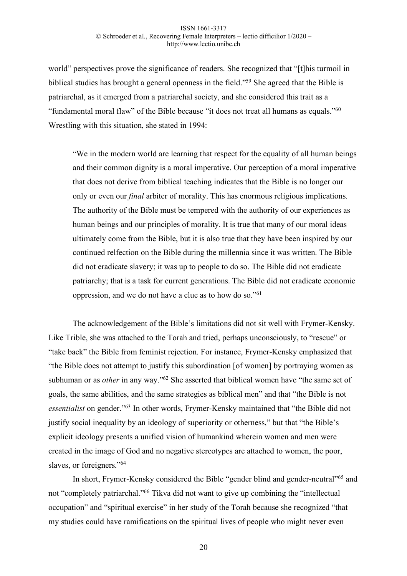world" perspectives prove the significance of readers. She recognized that "[t]his turmoil in biblical studies has brought a general openness in the field."59 She agreed that the Bible is patriarchal, as it emerged from a patriarchal society, and she considered this trait as a "fundamental moral flaw" of the Bible because "it does not treat all humans as equals."60 Wrestling with this situation, she stated in 1994:

"We in the modern world are learning that respect for the equality of all human beings and their common dignity is a moral imperative. Our perception of a moral imperative that does not derive from biblical teaching indicates that the Bible is no longer our only or even our *final* arbiter of morality. This has enormous religious implications. The authority of the Bible must be tempered with the authority of our experiences as human beings and our principles of morality. It is true that many of our moral ideas ultimately come from the Bible, but it is also true that they have been inspired by our continued relfection on the Bible during the millennia since it was written. The Bible did not eradicate slavery; it was up to people to do so. The Bible did not eradicate patriarchy; that is a task for current generations. The Bible did not eradicate economic oppression, and we do not have a clue as to how do so."61

The acknowledgement of the Bible's limitations did not sit well with Frymer-Kensky. Like Trible, she was attached to the Torah and tried, perhaps unconsciously, to "rescue" or "take back" the Bible from feminist rejection. For instance, Frymer-Kensky emphasized that "the Bible does not attempt to justify this subordination [of women] by portraying women as subhuman or as *other* in any way."<sup>62</sup> She asserted that biblical women have "the same set of goals, the same abilities, and the same strategies as biblical men" and that "the Bible is not *essentialist* on gender."63 In other words, Frymer-Kensky maintained that "the Bible did not justify social inequality by an ideology of superiority or otherness," but that "the Bible's explicit ideology presents a unified vision of humankind wherein women and men were created in the image of God and no negative stereotypes are attached to women, the poor, slaves, or foreigners."<sup>64</sup>

In short, Frymer-Kensky considered the Bible "gender blind and gender-neutral"65 and not "completely patriarchal."66 Tikva did not want to give up combining the "intellectual occupation" and "spiritual exercise" in her study of the Torah because she recognized "that my studies could have ramifications on the spiritual lives of people who might never even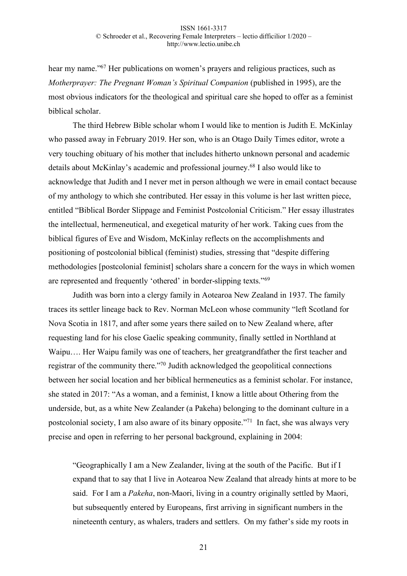hear my name."<sup>67</sup> Her publications on women's prayers and religious practices, such as *Motherprayer: The Pregnant Woman's Spiritual Companion* (published in 1995), are the most obvious indicators for the theological and spiritual care she hoped to offer as a feminist biblical scholar.

The third Hebrew Bible scholar whom I would like to mention is Judith E. McKinlay who passed away in February 2019. Her son, who is an Otago Daily Times editor, wrote a very touching obituary of his mother that includes hitherto unknown personal and academic details about McKinlay's academic and professional journey.68 I also would like to acknowledge that Judith and I never met in person although we were in email contact because of my anthology to which she contributed. Her essay in this volume is her last written piece, entitled "Biblical Border Slippage and Feminist Postcolonial Criticism." Her essay illustrates the intellectual, hermeneutical, and exegetical maturity of her work. Taking cues from the biblical figures of Eve and Wisdom, McKinlay reflects on the accomplishments and positioning of postcolonial biblical (feminist) studies, stressing that "despite differing methodologies [postcolonial feminist] scholars share a concern for the ways in which women are represented and frequently 'othered' in border-slipping texts."69

Judith was born into a clergy family in Aotearoa New Zealand in 1937. The family traces its settler lineage back to Rev. Norman McLeon whose community "left Scotland for Nova Scotia in 1817, and after some years there sailed on to New Zealand where, after requesting land for his close Gaelic speaking community, finally settled in Northland at Waipu…. Her Waipu family was one of teachers, her greatgrandfather the first teacher and registrar of the community there."70 Judith acknowledged the geopolitical connections between her social location and her biblical hermeneutics as a feminist scholar. For instance, she stated in 2017: "As a woman, and a feminist, I know a little about Othering from the underside, but, as a white New Zealander (a Pakeha) belonging to the dominant culture in a postcolonial society, I am also aware of its binary opposite."71 In fact, she was always very precise and open in referring to her personal background, explaining in 2004:

"Geographically I am a New Zealander, living at the south of the Pacific. But if I expand that to say that I live in Aotearoa New Zealand that already hints at more to be said. For I am a *Pakeha*, non-Maori, living in a country originally settled by Maori, but subsequently entered by Europeans, first arriving in significant numbers in the nineteenth century, as whalers, traders and settlers. On my father's side my roots in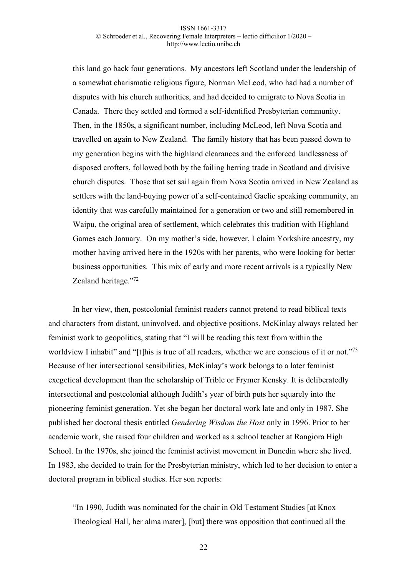this land go back four generations. My ancestors left Scotland under the leadership of a somewhat charismatic religious figure, Norman McLeod, who had had a number of disputes with his church authorities, and had decided to emigrate to Nova Scotia in Canada. There they settled and formed a self-identified Presbyterian community. Then, in the 1850s, a significant number, including McLeod, left Nova Scotia and travelled on again to New Zealand. The family history that has been passed down to my generation begins with the highland clearances and the enforced landlessness of disposed crofters, followed both by the failing herring trade in Scotland and divisive church disputes. Those that set sail again from Nova Scotia arrived in New Zealand as settlers with the land-buying power of a self-contained Gaelic speaking community, an identity that was carefully maintained for a generation or two and still remembered in Waipu, the original area of settlement, which celebrates this tradition with Highland Games each January. On my mother's side, however, I claim Yorkshire ancestry, my mother having arrived here in the 1920s with her parents, who were looking for better business opportunities. This mix of early and more recent arrivals is a typically New Zealand heritage."72

In her view, then, postcolonial feminist readers cannot pretend to read biblical texts and characters from distant, uninvolved, and objective positions. McKinlay always related her feminist work to geopolitics, stating that "I will be reading this text from within the worldview I inhabit" and "[t]his is true of all readers, whether we are conscious of it or not."<sup>73</sup> Because of her intersectional sensibilities, McKinlay's work belongs to a later feminist exegetical development than the scholarship of Trible or Frymer Kensky. It is deliberatedly intersectional and postcolonial although Judith's year of birth puts her squarely into the pioneering feminist generation. Yet she began her doctoral work late and only in 1987. She published her doctoral thesis entitled *Gendering Wisdom the Host* only in 1996. Prior to her academic work, she raised four children and worked as a school teacher at Rangiora High School. In the 1970s, she joined the feminist activist movement in Dunedin where she lived. In 1983, she decided to train for the Presbyterian ministry, which led to her decision to enter a doctoral program in biblical studies. Her son reports:

"In 1990, Judith was nominated for the chair in Old Testament Studies [at Knox Theological Hall, her alma mater], [but] there was opposition that continued all the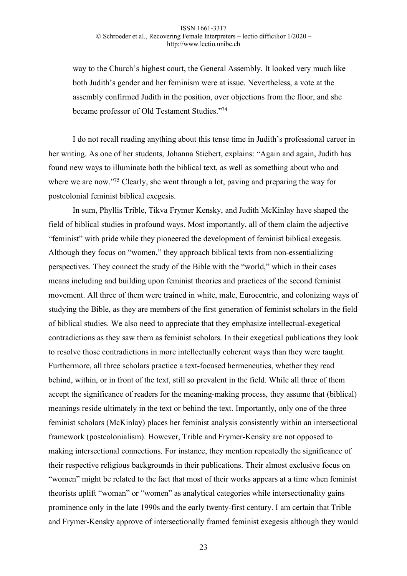way to the Church's highest court, the General Assembly. It looked very much like both Judith's gender and her feminism were at issue. Nevertheless, a vote at the assembly confirmed Judith in the position, over objections from the floor, and she became professor of Old Testament Studies."74

I do not recall reading anything about this tense time in Judith's professional career in her writing. As one of her students, Johanna Stiebert, explains: "Again and again, Judith has found new ways to illuminate both the biblical text, as well as something about who and where we are now."<sup>75</sup> Clearly, she went through a lot, paving and preparing the way for postcolonial feminist biblical exegesis.

In sum, Phyllis Trible, Tikva Frymer Kensky, and Judith McKinlay have shaped the field of biblical studies in profound ways. Most importantly, all of them claim the adjective "feminist" with pride while they pioneered the development of feminist biblical exegesis. Although they focus on "women," they approach biblical texts from non-essentializing perspectives. They connect the study of the Bible with the "world," which in their cases means including and building upon feminist theories and practices of the second feminist movement. All three of them were trained in white, male, Eurocentric, and colonizing ways of studying the Bible, as they are members of the first generation of feminist scholars in the field of biblical studies. We also need to appreciate that they emphasize intellectual-exegetical contradictions as they saw them as feminist scholars. In their exegetical publications they look to resolve those contradictions in more intellectually coherent ways than they were taught. Furthermore, all three scholars practice a text-focused hermeneutics, whether they read behind, within, or in front of the text, still so prevalent in the field. While all three of them accept the significance of readers for the meaning-making process, they assume that (biblical) meanings reside ultimately in the text or behind the text. Importantly, only one of the three feminist scholars (McKinlay) places her feminist analysis consistently within an intersectional framework (postcolonialism). However, Trible and Frymer-Kensky are not opposed to making intersectional connections. For instance, they mention repeatedly the significance of their respective religious backgrounds in their publications. Their almost exclusive focus on "women" might be related to the fact that most of their works appears at a time when feminist theorists uplift "woman" or "women" as analytical categories while intersectionality gains prominence only in the late 1990s and the early twenty-first century. I am certain that Trible and Frymer-Kensky approve of intersectionally framed feminist exegesis although they would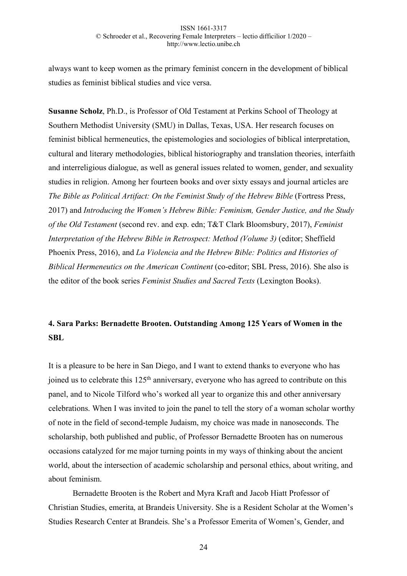always want to keep women as the primary feminist concern in the development of biblical studies as feminist biblical studies and vice versa.

**Susanne Scholz**, Ph.D., is Professor of Old Testament at Perkins School of Theology at Southern Methodist University (SMU) in Dallas, Texas, USA. Her research focuses on feminist biblical hermeneutics, the epistemologies and sociologies of biblical interpretation, cultural and literary methodologies, biblical historiography and translation theories, interfaith and interreligious dialogue, as well as general issues related to women, gender, and sexuality studies in religion. Among her fourteen books and over sixty essays and journal articles are *The Bible as Political Artifact: On the Feminist Study of the Hebrew Bible* (Fortress Press, 2017) and *Introducing the Women's Hebrew Bible: Feminism, Gender Justice, and the Study of the Old Testament* (second rev. and exp. edn; T&T Clark Bloomsbury, 2017), *Feminist Interpretation of the Hebrew Bible in Retrospect: Method (Volume 3)* (editor; Sheffield Phoenix Press, 2016), and *La Violencia and the Hebrew Bible: Politics and Histories of Biblical Hermeneutics on the American Continent* (co-editor; SBL Press, 2016). She also is the editor of the book series *Feminist Studies and Sacred Texts* (Lexington Books).

# **4. Sara Parks: Bernadette Brooten. Outstanding Among 125 Years of Women in the SBL**

It is a pleasure to be here in San Diego, and I want to extend thanks to everyone who has joined us to celebrate this  $125<sup>th</sup>$  anniversary, everyone who has agreed to contribute on this panel, and to Nicole Tilford who's worked all year to organize this and other anniversary celebrations. When I was invited to join the panel to tell the story of a woman scholar worthy of note in the field of second-temple Judaism, my choice was made in nanoseconds. The scholarship, both published and public, of Professor Bernadette Brooten has on numerous occasions catalyzed for me major turning points in my ways of thinking about the ancient world, about the intersection of academic scholarship and personal ethics, about writing, and about feminism.

Bernadette Brooten is the Robert and Myra Kraft and Jacob Hiatt Professor of Christian Studies, emerita, at Brandeis University. She is a Resident Scholar at the Women's Studies Research Center at Brandeis. She's a Professor Emerita of Women's, Gender, and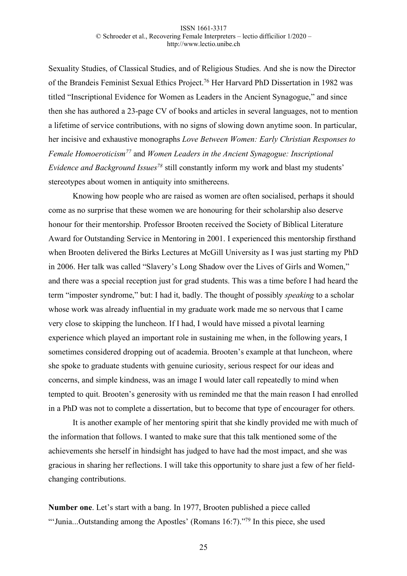Sexuality Studies, of Classical Studies, and of Religious Studies. And she is now the Director of the Brandeis Feminist Sexual Ethics Project.76 Her Harvard PhD Dissertation in 1982 was titled "Inscriptional Evidence for Women as Leaders in the Ancient Synagogue," and since then she has authored a 23-page CV of books and articles in several languages, not to mention a lifetime of service contributions, with no signs of slowing down anytime soon. In particular, her incisive and exhaustive monographs *Love Between Women: Early Christian Responses to Female Homoeroticism77* and *Women Leaders in the Ancient Synagogue: Inscriptional Evidence and Background Issues*<sup>78</sup> still constantly inform my work and blast my students' stereotypes about women in antiquity into smithereens.

Knowing how people who are raised as women are often socialised, perhaps it should come as no surprise that these women we are honouring for their scholarship also deserve honour for their mentorship. Professor Brooten received the Society of Biblical Literature Award for Outstanding Service in Mentoring in 2001. I experienced this mentorship firsthand when Brooten delivered the Birks Lectures at McGill University as I was just starting my PhD in 2006. Her talk was called "Slavery's Long Shadow over the Lives of Girls and Women," and there was a special reception just for grad students. This was a time before I had heard the term "imposter syndrome," but: I had it, badly. The thought of possibly *speaking* to a scholar whose work was already influential in my graduate work made me so nervous that I came very close to skipping the luncheon. If I had, I would have missed a pivotal learning experience which played an important role in sustaining me when, in the following years, I sometimes considered dropping out of academia. Brooten's example at that luncheon, where she spoke to graduate students with genuine curiosity, serious respect for our ideas and concerns, and simple kindness, was an image I would later call repeatedly to mind when tempted to quit. Brooten's generosity with us reminded me that the main reason I had enrolled in a PhD was not to complete a dissertation, but to become that type of encourager for others.

It is another example of her mentoring spirit that she kindly provided me with much of the information that follows. I wanted to make sure that this talk mentioned some of the achievements she herself in hindsight has judged to have had the most impact, and she was gracious in sharing her reflections. I will take this opportunity to share just a few of her fieldchanging contributions.

**Number one**. Let's start with a bang. In 1977, Brooten published a piece called "'Junia...Outstanding among the Apostles' (Romans  $16:7$ )."<sup>79</sup> In this piece, she used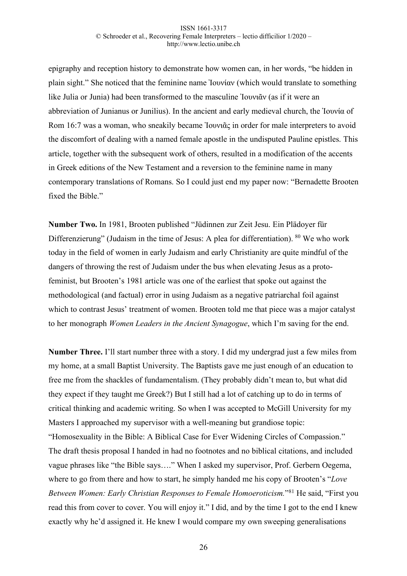epigraphy and reception history to demonstrate how women can, in her words, "be hidden in plain sight." She noticed that the feminine name Ἰουνίαν (which would translate to something like Julia or Junia) had been transformed to the masculine Ἰουνιᾶν (as if it were an abbreviation of Junianus or Junilius). In the ancient and early medieval church, the Ἰουνία of Rom 16:7 was a woman, who sneakily became Ἰουνιᾶς in order for male interpreters to avoid the discomfort of dealing with a named female apostle in the undisputed Pauline epistles. This article, together with the subsequent work of others, resulted in a modification of the accents in Greek editions of the New Testament and a reversion to the feminine name in many contemporary translations of Romans. So I could just end my paper now: "Bernadette Brooten fixed the Bible."

**Number Two.** In 1981, Brooten published "Jüdinnen zur Zeit Jesu. Ein Plädoyer für Differenzierung" (Judaism in the time of Jesus: A plea for differentiation). <sup>80</sup> We who work today in the field of women in early Judaism and early Christianity are quite mindful of the dangers of throwing the rest of Judaism under the bus when elevating Jesus as a protofeminist, but Brooten's 1981 article was one of the earliest that spoke out against the methodological (and factual) error in using Judaism as a negative patriarchal foil against which to contrast Jesus' treatment of women. Brooten told me that piece was a major catalyst to her monograph *Women Leaders in the Ancient Synagogue*, which I'm saving for the end.

**Number Three.** I'll start number three with a story. I did my undergrad just a few miles from my home, at a small Baptist University. The Baptists gave me just enough of an education to free me from the shackles of fundamentalism. (They probably didn't mean to, but what did they expect if they taught me Greek?) But I still had a lot of catching up to do in terms of critical thinking and academic writing. So when I was accepted to McGill University for my Masters I approached my supervisor with a well-meaning but grandiose topic: "Homosexuality in the Bible: A Biblical Case for Ever Widening Circles of Compassion." The draft thesis proposal I handed in had no footnotes and no biblical citations, and included vague phrases like "the Bible says…." When I asked my supervisor, Prof. Gerbern Oegema, where to go from there and how to start, he simply handed me his copy of Brooten's "*Love Between Women: Early Christian Responses to Female Homoeroticism.*"81 He said, "First you read this from cover to cover. You will enjoy it." I did, and by the time I got to the end I knew exactly why he'd assigned it. He knew I would compare my own sweeping generalisations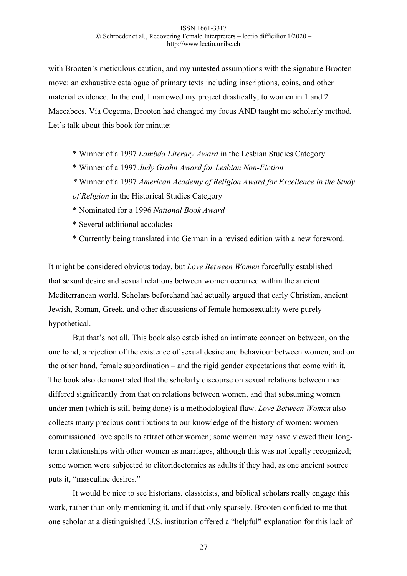with Brooten's meticulous caution, and my untested assumptions with the signature Brooten move: an exhaustive catalogue of primary texts including inscriptions, coins, and other material evidence. In the end, I narrowed my project drastically, to women in 1 and 2 Maccabees. Via Oegema, Brooten had changed my focus AND taught me scholarly method. Let's talk about this book for minute:

- \* Winner of a 1997 *Lambda Literary Award* in the Lesbian Studies Category
- \* Winner of a 1997 *Judy Grahn Award for Lesbian Non-Fiction*
- *\** Winner of a 1997 *American Academy of Religion Award for Excellence in the Study of Religion* in the Historical Studies Category
- \* Nominated for a 1996 *National Book Award*
- \* Several additional accolades
- \* Currently being translated into German in a revised edition with a new foreword.

It might be considered obvious today, but *Love Between Women* forcefully established that sexual desire and sexual relations between women occurred within the ancient Mediterranean world. Scholars beforehand had actually argued that early Christian, ancient Jewish, Roman, Greek, and other discussions of female homosexuality were purely hypothetical.

But that's not all. This book also established an intimate connection between, on the one hand, a rejection of the existence of sexual desire and behaviour between women, and on the other hand, female subordination – and the rigid gender expectations that come with it. The book also demonstrated that the scholarly discourse on sexual relations between men differed significantly from that on relations between women, and that subsuming women under men (which is still being done) is a methodological flaw. *Love Between Women* also collects many precious contributions to our knowledge of the history of women: women commissioned love spells to attract other women; some women may have viewed their longterm relationships with other women as marriages, although this was not legally recognized; some women were subjected to clitoridectomies as adults if they had, as one ancient source puts it, "masculine desires."

It would be nice to see historians, classicists, and biblical scholars really engage this work, rather than only mentioning it, and if that only sparsely. Brooten confided to me that one scholar at a distinguished U.S. institution offered a "helpful" explanation for this lack of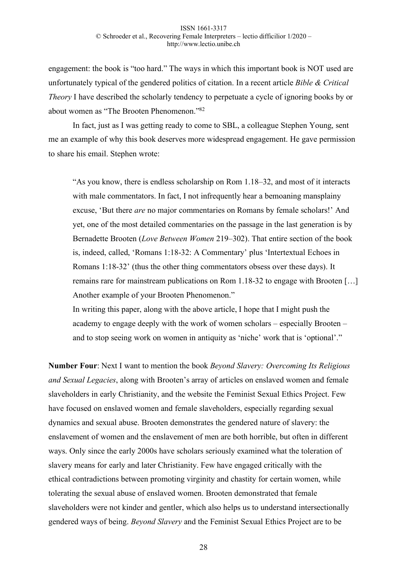engagement: the book is "too hard." The ways in which this important book is NOT used are unfortunately typical of the gendered politics of citation. In a recent article *Bible & Critical Theory* I have described the scholarly tendency to perpetuate a cycle of ignoring books by or about women as "The Brooten Phenomenon."82

In fact, just as I was getting ready to come to SBL, a colleague Stephen Young, sent me an example of why this book deserves more widespread engagement. He gave permission to share his email. Stephen wrote:

"As you know, there is endless scholarship on Rom 1.18–32, and most of it interacts with male commentators. In fact, I not infrequently hear a bemoaning mansplainy excuse, 'But there *are* no major commentaries on Romans by female scholars!' And yet, one of the most detailed commentaries on the passage in the last generation is by Bernadette Brooten (*Love Between Women* 219–302). That entire section of the book is, indeed, called, 'Romans 1:18-32: A Commentary' plus 'Intertextual Echoes in Romans 1:18-32' (thus the other thing commentators obsess over these days). It remains rare for mainstream publications on Rom 1.18-32 to engage with Brooten […] Another example of your Brooten Phenomenon."

In writing this paper, along with the above article, I hope that I might push the academy to engage deeply with the work of women scholars – especially Brooten – and to stop seeing work on women in antiquity as 'niche' work that is 'optional'."

**Number Four**: Next I want to mention the book *Beyond Slavery: Overcoming Its Religious and Sexual Legacies*, along with Brooten's array of articles on enslaved women and female slaveholders in early Christianity, and the website the Feminist Sexual Ethics Project. Few have focused on enslaved women and female slaveholders, especially regarding sexual dynamics and sexual abuse. Brooten demonstrates the gendered nature of slavery: the enslavement of women and the enslavement of men are both horrible, but often in different ways. Only since the early 2000s have scholars seriously examined what the toleration of slavery means for early and later Christianity. Few have engaged critically with the ethical contradictions between promoting virginity and chastity for certain women, while tolerating the sexual abuse of enslaved women. Brooten demonstrated that female slaveholders were not kinder and gentler, which also helps us to understand intersectionally gendered ways of being. *Beyond Slavery* and the Feminist Sexual Ethics Project are to be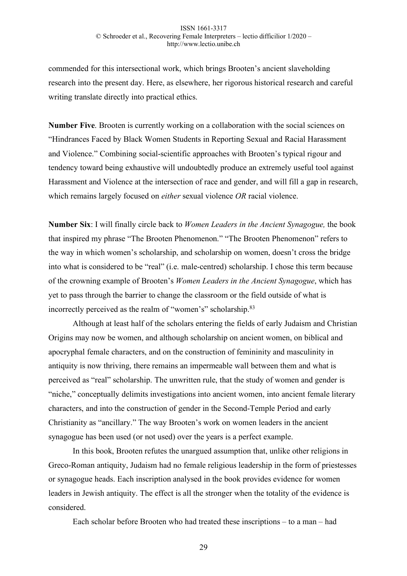commended for this intersectional work, which brings Brooten's ancient slaveholding research into the present day. Here, as elsewhere, her rigorous historical research and careful writing translate directly into practical ethics.

**Number Five**. Brooten is currently working on a collaboration with the social sciences on "Hindrances Faced by Black Women Students in Reporting Sexual and Racial Harassment and Violence." Combining social-scientific approaches with Brooten's typical rigour and tendency toward being exhaustive will undoubtedly produce an extremely useful tool against Harassment and Violence at the intersection of race and gender, and will fill a gap in research, which remains largely focused on *either* sexual violence *OR* racial violence.

**Number Six**: I will finally circle back to *Women Leaders in the Ancient Synagogue,* the book that inspired my phrase "The Brooten Phenomenon." "The Brooten Phenomenon" refers to the way in which women's scholarship, and scholarship on women, doesn't cross the bridge into what is considered to be "real" (i.e. male-centred) scholarship. I chose this term because of the crowning example of Brooten's *Women Leaders in the Ancient Synagogue*, which has yet to pass through the barrier to change the classroom or the field outside of what is incorrectly perceived as the realm of "women's" scholarship.83

Although at least half of the scholars entering the fields of early Judaism and Christian Origins may now be women, and although scholarship on ancient women, on biblical and apocryphal female characters, and on the construction of femininity and masculinity in antiquity is now thriving, there remains an impermeable wall between them and what is perceived as "real" scholarship. The unwritten rule, that the study of women and gender is "niche," conceptually delimits investigations into ancient women, into ancient female literary characters, and into the construction of gender in the Second-Temple Period and early Christianity as "ancillary." The way Brooten's work on women leaders in the ancient synagogue has been used (or not used) over the years is a perfect example.

In this book, Brooten refutes the unargued assumption that, unlike other religions in Greco-Roman antiquity, Judaism had no female religious leadership in the form of priestesses or synagogue heads. Each inscription analysed in the book provides evidence for women leaders in Jewish antiquity. The effect is all the stronger when the totality of the evidence is considered.

Each scholar before Brooten who had treated these inscriptions – to a man – had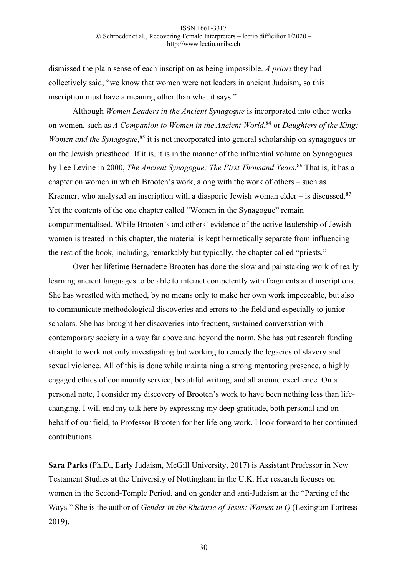dismissed the plain sense of each inscription as being impossible. *A priori* they had collectively said, "we know that women were not leaders in ancient Judaism, so this inscription must have a meaning other than what it says."

Although *Women Leaders in the Ancient Synagogue* is incorporated into other works on women, such as *A Companion to Women in the Ancient World*, <sup>84</sup> or *Daughters of the King:*  Women and the Synagogue,<sup>85</sup> it is not incorporated into general scholarship on synagogues or on the Jewish priesthood. If it is, it is in the manner of the influential volume on Synagogues by Lee Levine in 2000, *The Ancient Synagogue: The First Thousand Years*. <sup>86</sup> That is, it has a chapter on women in which Brooten's work, along with the work of others – such as Kraemer, who analysed an inscription with a diasporic Jewish woman elder – is discussed.<sup>87</sup> Yet the contents of the one chapter called "Women in the Synagogue" remain compartmentalised. While Brooten's and others' evidence of the active leadership of Jewish women is treated in this chapter, the material is kept hermetically separate from influencing the rest of the book, including, remarkably but typically, the chapter called "priests."

Over her lifetime Bernadette Brooten has done the slow and painstaking work of really learning ancient languages to be able to interact competently with fragments and inscriptions. She has wrestled with method, by no means only to make her own work impeccable, but also to communicate methodological discoveries and errors to the field and especially to junior scholars. She has brought her discoveries into frequent, sustained conversation with contemporary society in a way far above and beyond the norm. She has put research funding straight to work not only investigating but working to remedy the legacies of slavery and sexual violence. All of this is done while maintaining a strong mentoring presence, a highly engaged ethics of community service, beautiful writing, and all around excellence. On a personal note, I consider my discovery of Brooten's work to have been nothing less than lifechanging. I will end my talk here by expressing my deep gratitude, both personal and on behalf of our field, to Professor Brooten for her lifelong work. I look forward to her continued contributions.

**Sara Parks** (Ph.D., Early Judaism, McGill University, 2017) is Assistant Professor in New Testament Studies at the University of Nottingham in the U.K. Her research focuses on women in the Second-Temple Period, and on gender and anti-Judaism at the "Parting of the Ways." She is the author of *Gender in the Rhetoric of Jesus: Women in O* (Lexington Fortress 2019).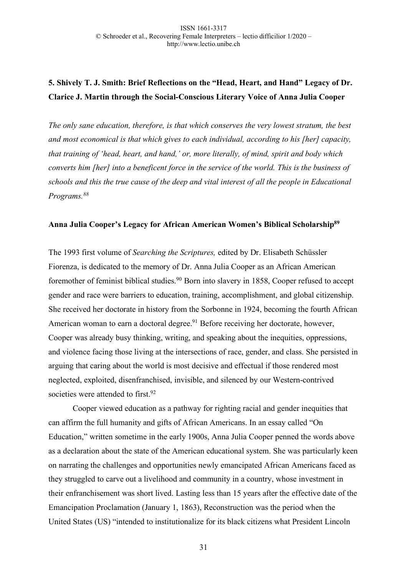# **5. Shively T. J. Smith: Brief Reflections on the "Head, Heart, and Hand" Legacy of Dr. Clarice J. Martin through the Social-Conscious Literary Voice of Anna Julia Cooper**

*The only sane education, therefore, is that which conserves the very lowest stratum, the best and most economical is that which gives to each individual, according to his [her] capacity, that training of 'head, heart, and hand,' or, more literally, of mind, spirit and body which converts him [her] into a beneficent force in the service of the world. This is the business of schools and this the true cause of the deep and vital interest of all the people in Educational Programs.88*

## **Anna Julia Cooper's Legacy for African American Women's Biblical Scholarship89**

The 1993 first volume of *Searching the Scriptures,* edited by Dr. Elisabeth Schüssler Fiorenza, is dedicated to the memory of Dr. Anna Julia Cooper as an African American foremother of feminist biblical studies.<sup>90</sup> Born into slavery in 1858, Cooper refused to accept gender and race were barriers to education, training, accomplishment, and global citizenship. She received her doctorate in history from the Sorbonne in 1924, becoming the fourth African American woman to earn a doctoral degree.<sup>91</sup> Before receiving her doctorate, however, Cooper was already busy thinking, writing, and speaking about the inequities, oppressions, and violence facing those living at the intersections of race, gender, and class. She persisted in arguing that caring about the world is most decisive and effectual if those rendered most neglected, exploited, disenfranchised, invisible, and silenced by our Western-contrived societies were attended to first.<sup>92</sup>

Cooper viewed education as a pathway for righting racial and gender inequities that can affirm the full humanity and gifts of African Americans. In an essay called "On Education," written sometime in the early 1900s, Anna Julia Cooper penned the words above as a declaration about the state of the American educational system. She was particularly keen on narrating the challenges and opportunities newly emancipated African Americans faced as they struggled to carve out a livelihood and community in a country, whose investment in their enfranchisement was short lived. Lasting less than 15 years after the effective date of the Emancipation Proclamation (January 1, 1863), Reconstruction was the period when the United States (US) "intended to institutionalize for its black citizens what President Lincoln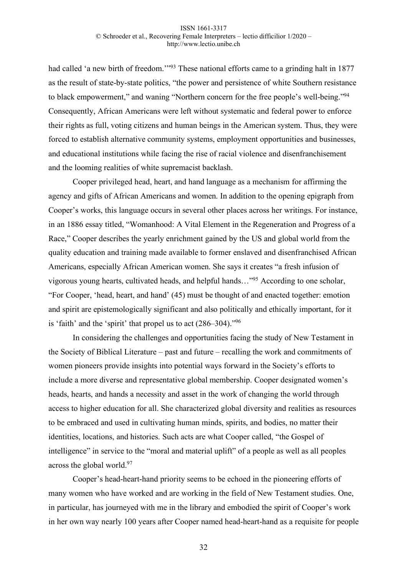had called 'a new birth of freedom.'<sup>193</sup> These national efforts came to a grinding halt in 1877 as the result of state-by-state politics, "the power and persistence of white Southern resistance to black empowerment," and waning "Northern concern for the free people's well-being."94 Consequently, African Americans were left without systematic and federal power to enforce their rights as full, voting citizens and human beings in the American system. Thus, they were forced to establish alternative community systems, employment opportunities and businesses, and educational institutions while facing the rise of racial violence and disenfranchisement and the looming realities of white supremacist backlash.

Cooper privileged head, heart, and hand language as a mechanism for affirming the agency and gifts of African Americans and women. In addition to the opening epigraph from Cooper's works, this language occurs in several other places across her writings. For instance, in an 1886 essay titled, "Womanhood: A Vital Element in the Regeneration and Progress of a Race," Cooper describes the yearly enrichment gained by the US and global world from the quality education and training made available to former enslaved and disenfranchised African Americans, especially African American women. She says it creates "a fresh infusion of vigorous young hearts, cultivated heads, and helpful hands…"95 According to one scholar, "For Cooper, 'head, heart, and hand' (45) must be thought of and enacted together: emotion and spirit are epistemologically significant and also politically and ethically important, for it is 'faith' and the 'spirit' that propel us to act (286–304)."96

In considering the challenges and opportunities facing the study of New Testament in the Society of Biblical Literature – past and future – recalling the work and commitments of women pioneers provide insights into potential ways forward in the Society's efforts to include a more diverse and representative global membership. Cooper designated women's heads, hearts, and hands a necessity and asset in the work of changing the world through access to higher education for all. She characterized global diversity and realities as resources to be embraced and used in cultivating human minds, spirits, and bodies, no matter their identities, locations, and histories. Such acts are what Cooper called, "the Gospel of intelligence" in service to the "moral and material uplift" of a people as well as all peoples across the global world.97

Cooper's head-heart-hand priority seems to be echoed in the pioneering efforts of many women who have worked and are working in the field of New Testament studies. One, in particular, has journeyed with me in the library and embodied the spirit of Cooper's work in her own way nearly 100 years after Cooper named head-heart-hand as a requisite for people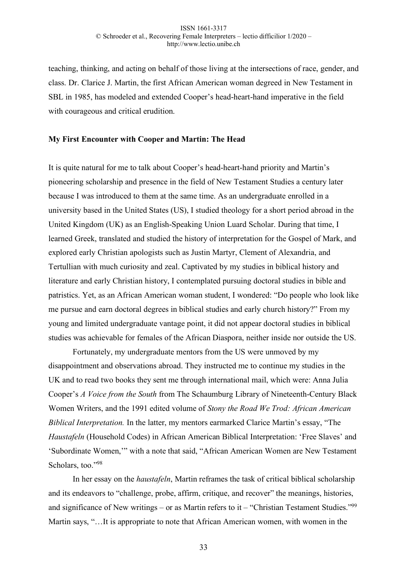teaching, thinking, and acting on behalf of those living at the intersections of race, gender, and class. Dr. Clarice J. Martin, the first African American woman degreed in New Testament in SBL in 1985, has modeled and extended Cooper's head-heart-hand imperative in the field with courageous and critical erudition.

### **My First Encounter with Cooper and Martin: The Head**

It is quite natural for me to talk about Cooper's head-heart-hand priority and Martin's pioneering scholarship and presence in the field of New Testament Studies a century later because I was introduced to them at the same time. As an undergraduate enrolled in a university based in the United States (US), I studied theology for a short period abroad in the United Kingdom (UK) as an English-Speaking Union Luard Scholar. During that time, I learned Greek, translated and studied the history of interpretation for the Gospel of Mark, and explored early Christian apologists such as Justin Martyr, Clement of Alexandria, and Tertullian with much curiosity and zeal. Captivated by my studies in biblical history and literature and early Christian history, I contemplated pursuing doctoral studies in bible and patristics. Yet, as an African American woman student, I wondered: "Do people who look like me pursue and earn doctoral degrees in biblical studies and early church history?" From my young and limited undergraduate vantage point, it did not appear doctoral studies in biblical studies was achievable for females of the African Diaspora, neither inside nor outside the US.

Fortunately, my undergraduate mentors from the US were unmoved by my disappointment and observations abroad. They instructed me to continue my studies in the UK and to read two books they sent me through international mail, which were: Anna Julia Cooper's *A Voice from the South* from The Schaumburg Library of Nineteenth-Century Black Women Writers, and the 1991 edited volume of *Stony the Road We Trod: African American Biblical Interpretation.* In the latter, my mentors earmarked Clarice Martin's essay, "The *Haustafeln* (Household Codes) in African American Biblical Interpretation: 'Free Slaves' and 'Subordinate Women,'" with a note that said, "African American Women are New Testament Scholars, too."98

In her essay on the *haustafeln*, Martin reframes the task of critical biblical scholarship and its endeavors to "challenge, probe, affirm, critique, and recover" the meanings, histories, and significance of New writings – or as Martin refers to it – "Christian Testament Studies."<sup>99</sup> Martin says, "…It is appropriate to note that African American women, with women in the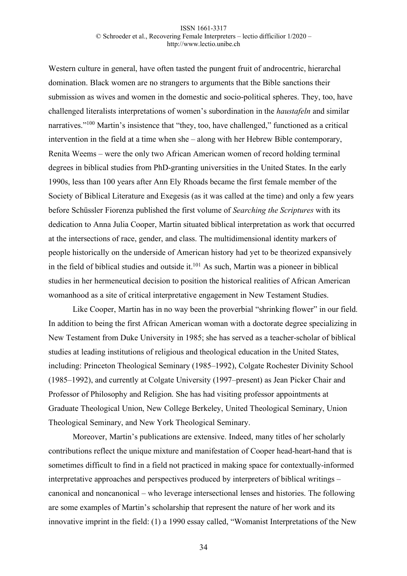Western culture in general, have often tasted the pungent fruit of androcentric, hierarchal domination. Black women are no strangers to arguments that the Bible sanctions their submission as wives and women in the domestic and socio-political spheres. They, too, have challenged literalists interpretations of women's subordination in the *haustafeln* and similar narratives."<sup>100</sup> Martin's insistence that "they, too, have challenged," functioned as a critical intervention in the field at a time when she – along with her Hebrew Bible contemporary, Renita Weems – were the only two African American women of record holding terminal degrees in biblical studies from PhD-granting universities in the United States. In the early 1990s, less than 100 years after Ann Ely Rhoads became the first female member of the Society of Biblical Literature and Exegesis (as it was called at the time) and only a few years before Schüssler Fiorenza published the first volume of *Searching the Scriptures* with its dedication to Anna Julia Cooper, Martin situated biblical interpretation as work that occurred at the intersections of race, gender, and class. The multidimensional identity markers of people historically on the underside of American history had yet to be theorized expansively in the field of biblical studies and outside it.<sup>101</sup> As such, Martin was a pioneer in biblical studies in her hermeneutical decision to position the historical realities of African American womanhood as a site of critical interpretative engagement in New Testament Studies.

Like Cooper, Martin has in no way been the proverbial "shrinking flower" in our field. In addition to being the first African American woman with a doctorate degree specializing in New Testament from Duke University in 1985; she has served as a teacher-scholar of biblical studies at leading institutions of religious and theological education in the United States, including: Princeton Theological Seminary (1985–1992), Colgate Rochester Divinity School (1985–1992), and currently at Colgate University (1997–present) as Jean Picker Chair and Professor of Philosophy and Religion. She has had visiting professor appointments at Graduate Theological Union, New College Berkeley, United Theological Seminary, Union Theological Seminary, and New York Theological Seminary.

Moreover, Martin's publications are extensive. Indeed, many titles of her scholarly contributions reflect the unique mixture and manifestation of Cooper head-heart-hand that is sometimes difficult to find in a field not practiced in making space for contextually-informed interpretative approaches and perspectives produced by interpreters of biblical writings – canonical and noncanonical – who leverage intersectional lenses and histories. The following are some examples of Martin's scholarship that represent the nature of her work and its innovative imprint in the field: (1) a 1990 essay called, "Womanist Interpretations of the New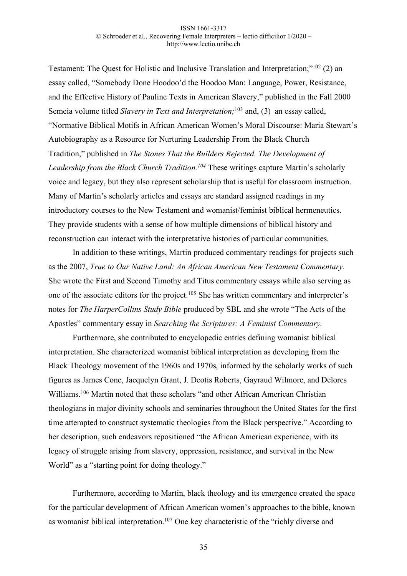Testament: The Quest for Holistic and Inclusive Translation and Interpretation;"102 (2) an essay called, "Somebody Done Hoodoo'd the Hoodoo Man: Language, Power, Resistance, and the Effective History of Pauline Texts in American Slavery," published in the Fall 2000 Semeia volume titled *Slavery in Text and Interpretation;*<sup>103</sup> and, (3) an essay called, "Normative Biblical Motifs in African American Women's Moral Discourse: Maria Stewart's Autobiography as a Resource for Nurturing Leadership From the Black Church Tradition," published in *The Stones That the Builders Rejected. The Development of Leadership from the Black Church Tradition.104* These writings capture Martin's scholarly voice and legacy, but they also represent scholarship that is useful for classroom instruction. Many of Martin's scholarly articles and essays are standard assigned readings in my introductory courses to the New Testament and womanist/feminist biblical hermeneutics. They provide students with a sense of how multiple dimensions of biblical history and reconstruction can interact with the interpretative histories of particular communities.

In addition to these writings, Martin produced commentary readings for projects such as the 2007, *True to Our Native Land: An African American New Testament Commentary.*  She wrote the First and Second Timothy and Titus commentary essays while also serving as one of the associate editors for the project.<sup>105</sup> She has written commentary and interpreter's notes for *The HarperCollins Study Bible* produced by SBL and she wrote "The Acts of the Apostles" commentary essay in *Searching the Scriptures: A Feminist Commentary.*

Furthermore, she contributed to encyclopedic entries defining womanist biblical interpretation. She characterized womanist biblical interpretation as developing from the Black Theology movement of the 1960s and 1970s, informed by the scholarly works of such figures as James Cone, Jacquelyn Grant, J. Deotis Roberts, Gayraud Wilmore, and Delores Williams.<sup>106</sup> Martin noted that these scholars "and other African American Christian theologians in major divinity schools and seminaries throughout the United States for the first time attempted to construct systematic theologies from the Black perspective." According to her description, such endeavors repositioned "the African American experience, with its legacy of struggle arising from slavery, oppression, resistance, and survival in the New World" as a "starting point for doing theology."

Furthermore, according to Martin, black theology and its emergence created the space for the particular development of African American women's approaches to the bible, known as womanist biblical interpretation.<sup>107</sup> One key characteristic of the "richly diverse and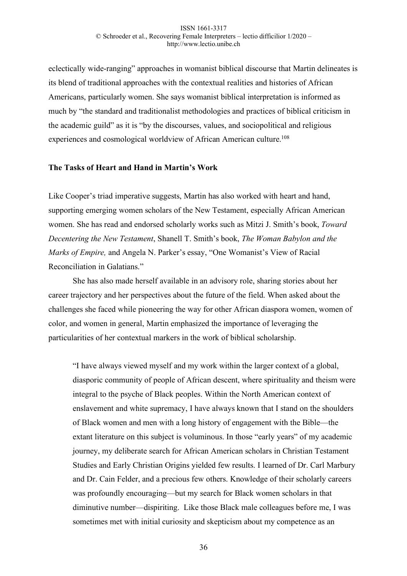eclectically wide-ranging" approaches in womanist biblical discourse that Martin delineates is its blend of traditional approaches with the contextual realities and histories of African Americans, particularly women. She says womanist biblical interpretation is informed as much by "the standard and traditionalist methodologies and practices of biblical criticism in the academic guild" as it is "by the discourses, values, and sociopolitical and religious experiences and cosmological worldview of African American culture.<sup>108</sup>

### **The Tasks of Heart and Hand in Martin's Work**

Like Cooper's triad imperative suggests, Martin has also worked with heart and hand, supporting emerging women scholars of the New Testament, especially African American women. She has read and endorsed scholarly works such as Mitzi J. Smith's book, *Toward Decentering the New Testament*, Shanell T. Smith's book, *The Woman Babylon and the Marks of Empire,* and Angela N. Parker's essay, "One Womanist's View of Racial Reconciliation in Galatians."

She has also made herself available in an advisory role, sharing stories about her career trajectory and her perspectives about the future of the field. When asked about the challenges she faced while pioneering the way for other African diaspora women, women of color, and women in general, Martin emphasized the importance of leveraging the particularities of her contextual markers in the work of biblical scholarship.

"I have always viewed myself and my work within the larger context of a global, diasporic community of people of African descent, where spirituality and theism were integral to the psyche of Black peoples. Within the North American context of enslavement and white supremacy, I have always known that I stand on the shoulders of Black women and men with a long history of engagement with the Bible—the extant literature on this subject is voluminous. In those "early years" of my academic journey, my deliberate search for African American scholars in Christian Testament Studies and Early Christian Origins yielded few results. I learned of Dr. Carl Marbury and Dr. Cain Felder, and a precious few others. Knowledge of their scholarly careers was profoundly encouraging—but my search for Black women scholars in that diminutive number—dispiriting. Like those Black male colleagues before me, I was sometimes met with initial curiosity and skepticism about my competence as an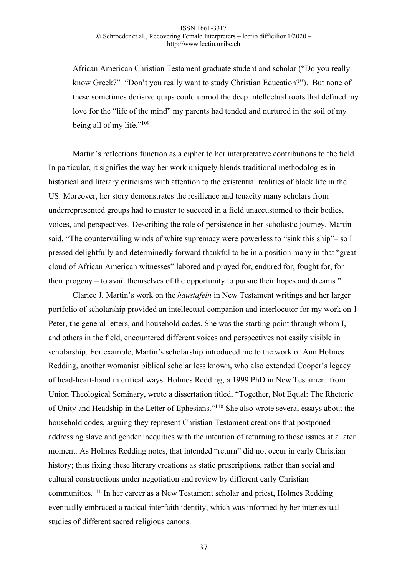African American Christian Testament graduate student and scholar ("Do you really know Greek?" "Don't you really want to study Christian Education?"). But none of these sometimes derisive quips could uproot the deep intellectual roots that defined my love for the "life of the mind" my parents had tended and nurtured in the soil of my being all of my life."109

Martin's reflections function as a cipher to her interpretative contributions to the field. In particular, it signifies the way her work uniquely blends traditional methodologies in historical and literary criticisms with attention to the existential realities of black life in the US. Moreover, her story demonstrates the resilience and tenacity many scholars from underrepresented groups had to muster to succeed in a field unaccustomed to their bodies, voices, and perspectives. Describing the role of persistence in her scholastic journey, Martin said, "The countervailing winds of white supremacy were powerless to "sink this ship"– so I pressed delightfully and determinedly forward thankful to be in a position many in that "great cloud of African American witnesses" labored and prayed for, endured for, fought for, for their progeny – to avail themselves of the opportunity to pursue their hopes and dreams."

Clarice J. Martin's work on the *haustafeln* in New Testament writings and her larger portfolio of scholarship provided an intellectual companion and interlocutor for my work on 1 Peter, the general letters, and household codes. She was the starting point through whom I, and others in the field, encountered different voices and perspectives not easily visible in scholarship. For example, Martin's scholarship introduced me to the work of Ann Holmes Redding, another womanist biblical scholar less known, who also extended Cooper's legacy of head-heart-hand in critical ways. Holmes Redding, a 1999 PhD in New Testament from Union Theological Seminary, wrote a dissertation titled, "Together, Not Equal: The Rhetoric of Unity and Headship in the Letter of Ephesians."110 She also wrote several essays about the household codes, arguing they represent Christian Testament creations that postponed addressing slave and gender inequities with the intention of returning to those issues at a later moment. As Holmes Redding notes, that intended "return" did not occur in early Christian history; thus fixing these literary creations as static prescriptions, rather than social and cultural constructions under negotiation and review by different early Christian communities.111 In her career as a New Testament scholar and priest, Holmes Redding eventually embraced a radical interfaith identity, which was informed by her intertextual studies of different sacred religious canons.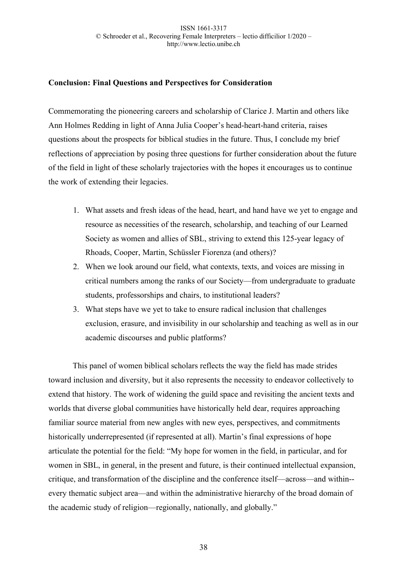# **Conclusion: Final Questions and Perspectives for Consideration**

Commemorating the pioneering careers and scholarship of Clarice J. Martin and others like Ann Holmes Redding in light of Anna Julia Cooper's head-heart-hand criteria, raises questions about the prospects for biblical studies in the future. Thus, I conclude my brief reflections of appreciation by posing three questions for further consideration about the future of the field in light of these scholarly trajectories with the hopes it encourages us to continue the work of extending their legacies.

- 1. What assets and fresh ideas of the head, heart, and hand have we yet to engage and resource as necessities of the research, scholarship, and teaching of our Learned Society as women and allies of SBL, striving to extend this 125-year legacy of Rhoads, Cooper, Martin, Schüssler Fiorenza (and others)?
- 2. When we look around our field, what contexts, texts, and voices are missing in critical numbers among the ranks of our Society—from undergraduate to graduate students, professorships and chairs, to institutional leaders?
- 3. What steps have we yet to take to ensure radical inclusion that challenges exclusion, erasure, and invisibility in our scholarship and teaching as well as in our academic discourses and public platforms?

This panel of women biblical scholars reflects the way the field has made strides toward inclusion and diversity, but it also represents the necessity to endeavor collectively to extend that history. The work of widening the guild space and revisiting the ancient texts and worlds that diverse global communities have historically held dear, requires approaching familiar source material from new angles with new eyes, perspectives, and commitments historically underrepresented (if represented at all). Martin's final expressions of hope articulate the potential for the field: "My hope for women in the field, in particular, and for women in SBL, in general, in the present and future, is their continued intellectual expansion, critique, and transformation of the discipline and the conference itself—across—and within- every thematic subject area—and within the administrative hierarchy of the broad domain of the academic study of religion—regionally, nationally, and globally."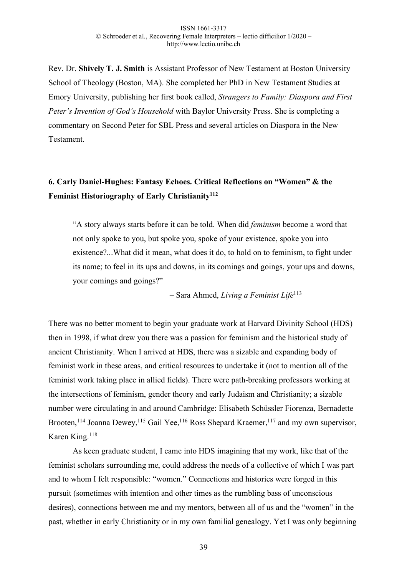Rev. Dr. **Shively T. J. Smith** is Assistant Professor of New Testament at Boston University School of Theology (Boston, MA). She completed her PhD in New Testament Studies at Emory University, publishing her first book called, *Strangers to Family: Diaspora and First Peter's Invention of God's Household* with Baylor University Press. She is completing a commentary on Second Peter for SBL Press and several articles on Diaspora in the New Testament.

# **6. Carly Daniel-Hughes: Fantasy Echoes. Critical Reflections on "Women" & the Feminist Historiography of Early Christianity112**

"A story always starts before it can be told. When did *feminism* become a word that not only spoke to you, but spoke you, spoke of your existence, spoke you into existence?...What did it mean, what does it do, to hold on to feminism, to fight under its name; to feel in its ups and downs, in its comings and goings, your ups and downs, your comings and goings?"

– Sara Ahmed, *Living a Feminist Life*<sup>113</sup>

There was no better moment to begin your graduate work at Harvard Divinity School (HDS) then in 1998, if what drew you there was a passion for feminism and the historical study of ancient Christianity. When I arrived at HDS, there was a sizable and expanding body of feminist work in these areas, and critical resources to undertake it (not to mention all of the feminist work taking place in allied fields). There were path-breaking professors working at the intersections of feminism, gender theory and early Judaism and Christianity; a sizable number were circulating in and around Cambridge: Elisabeth Schüssler Fiorenza, Bernadette Brooten,<sup>114</sup> Joanna Dewey,<sup>115</sup> Gail Yee,<sup>116</sup> Ross Shepard Kraemer,<sup>117</sup> and my own supervisor, Karen King.118

As keen graduate student, I came into HDS imagining that my work, like that of the feminist scholars surrounding me, could address the needs of a collective of which I was part and to whom I felt responsible: "women." Connections and histories were forged in this pursuit (sometimes with intention and other times as the rumbling bass of unconscious desires), connections between me and my mentors, between all of us and the "women" in the past, whether in early Christianity or in my own familial genealogy. Yet I was only beginning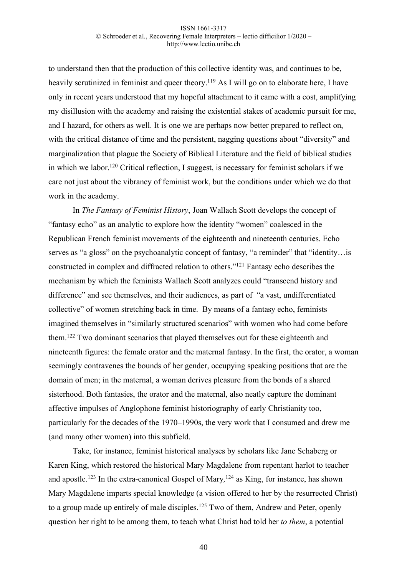to understand then that the production of this collective identity was, and continues to be, heavily scrutinized in feminist and queer theory.<sup>119</sup> As I will go on to elaborate here, I have only in recent years understood that my hopeful attachment to it came with a cost, amplifying my disillusion with the academy and raising the existential stakes of academic pursuit for me, and I hazard, for others as well. It is one we are perhaps now better prepared to reflect on, with the critical distance of time and the persistent, nagging questions about "diversity" and marginalization that plague the Society of Biblical Literature and the field of biblical studies in which we labor.120 Critical reflection, I suggest, is necessary for feminist scholars if we care not just about the vibrancy of feminist work, but the conditions under which we do that work in the academy.

In *The Fantasy of Feminist History*, Joan Wallach Scott develops the concept of "fantasy echo" as an analytic to explore how the identity "women" coalesced in the Republican French feminist movements of the eighteenth and nineteenth centuries. Echo serves as "a gloss" on the psychoanalytic concept of fantasy, "a reminder" that "identity... is constructed in complex and diffracted relation to others."121 Fantasy echo describes the mechanism by which the feminists Wallach Scott analyzes could "transcend history and difference" and see themselves, and their audiences, as part of "a vast, undifferentiated collective" of women stretching back in time. By means of a fantasy echo, feminists imagined themselves in "similarly structured scenarios" with women who had come before them.122 Two dominant scenarios that played themselves out for these eighteenth and nineteenth figures: the female orator and the maternal fantasy. In the first, the orator, a woman seemingly contravenes the bounds of her gender, occupying speaking positions that are the domain of men; in the maternal, a woman derives pleasure from the bonds of a shared sisterhood. Both fantasies, the orator and the maternal, also neatly capture the dominant affective impulses of Anglophone feminist historiography of early Christianity too, particularly for the decades of the 1970–1990s, the very work that I consumed and drew me (and many other women) into this subfield.

Take, for instance, feminist historical analyses by scholars like Jane Schaberg or Karen King, which restored the historical Mary Magdalene from repentant harlot to teacher and apostle.123 In the extra-canonical Gospel of Mary*,* <sup>124</sup> as King, for instance, has shown Mary Magdalene imparts special knowledge (a vision offered to her by the resurrected Christ) to a group made up entirely of male disciples.<sup>125</sup> Two of them, Andrew and Peter, openly question her right to be among them, to teach what Christ had told her *to them*, a potential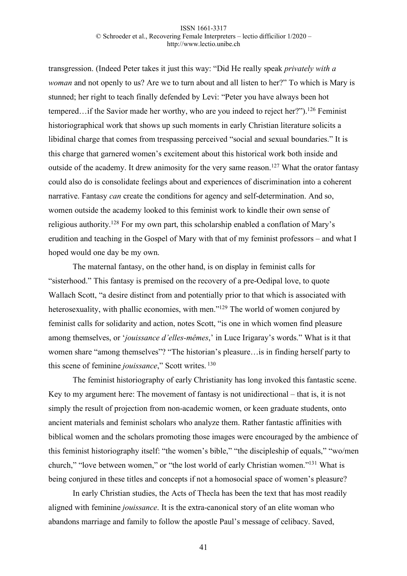transgression. (Indeed Peter takes it just this way: "Did He really speak *privately with a woman* and not openly to us? Are we to turn about and all listen to her?" To which is Mary is stunned; her right to teach finally defended by Levi: "Peter you have always been hot tempered…if the Savior made her worthy, who are you indeed to reject her?").<sup>126</sup> Feminist historiographical work that shows up such moments in early Christian literature solicits a libidinal charge that comes from trespassing perceived "social and sexual boundaries." It is this charge that garnered women's excitement about this historical work both inside and outside of the academy. It drew animosity for the very same reason.<sup>127</sup> What the orator fantasy could also do is consolidate feelings about and experiences of discrimination into a coherent narrative. Fantasy *can* create the conditions for agency and self-determination. And so, women outside the academy looked to this feminist work to kindle their own sense of religious authority.128 For my own part, this scholarship enabled a conflation of Mary's erudition and teaching in the Gospel of Mary with that of my feminist professors – and what I hoped would one day be my own.

The maternal fantasy, on the other hand, is on display in feminist calls for "sisterhood." This fantasy is premised on the recovery of a pre-Oedipal love, to quote Wallach Scott, "a desire distinct from and potentially prior to that which is associated with heterosexuality, with phallic economies, with men."<sup>129</sup> The world of women conjured by feminist calls for solidarity and action, notes Scott, "is one in which women find pleasure among themselves, or '*jouissance d'elles-mêmes*,' in Luce Irigaray's words." What is it that women share "among themselves"? "The historian's pleasure…is in finding herself party to this scene of feminine *jouissance*," Scott writes. <sup>130</sup>

The feminist historiography of early Christianity has long invoked this fantastic scene. Key to my argument here: The movement of fantasy is not unidirectional – that is, it is not simply the result of projection from non-academic women, or keen graduate students, onto ancient materials and feminist scholars who analyze them. Rather fantastic affinities with biblical women and the scholars promoting those images were encouraged by the ambience of this feminist historiography itself: "the women's bible," "the discipleship of equals," "wo/men church," "love between women," or "the lost world of early Christian women."131 What is being conjured in these titles and concepts if not a homosocial space of women's pleasure?

In early Christian studies, the Acts of Thecla has been the text that has most readily aligned with feminine *jouissance*. It is the extra-canonical story of an elite woman who abandons marriage and family to follow the apostle Paul's message of celibacy. Saved,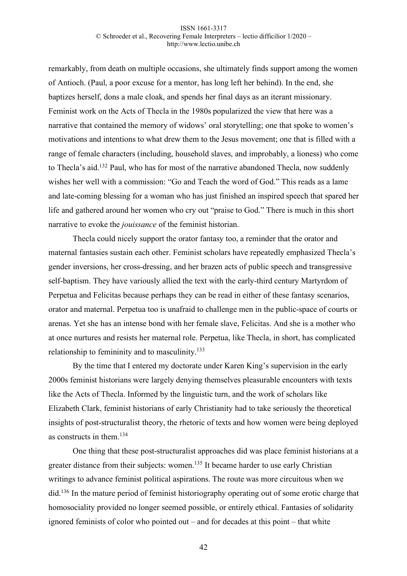remarkably, from death on multiple occasions, she ultimately finds support among the women of Antioch. (Paul, a poor excuse for a mentor, has long left her behind). In the end, she baptizes herself, dons a male cloak, and spends her final days as an iterant missionary. Feminist work on the Acts of Thecla in the 1980s popularized the view that here was a narrative that contained the memory of widows' oral storytelling; one that spoke to women's motivations and intentions to what drew them to the Jesus movement; one that is filled with a range of female characters (including, household slaves, and improbably, a lioness) who come to Thecla's aid.132 Paul, who has for most of the narrative abandoned Thecla, now suddenly wishes her well with a commission: "Go and Teach the word of God." This reads as a lame and late-coming blessing for a woman who has just finished an inspired speech that spared her life and gathered around her women who cry out "praise to God." There is much in this short narrative to evoke the *jouissance* of the feminist historian.

Thecla could nicely support the orator fantasy too, a reminder that the orator and maternal fantasies sustain each other. Feminist scholars have repeatedly emphasized Thecla's gender inversions, her cross-dressing, and her brazen acts of public speech and transgressive self-baptism. They have variously allied the text with the early-third century Martyrdom of Perpetua and Felicitas because perhaps they can be read in either of these fantasy scenarios, orator and maternal. Perpetua too is unafraid to challenge men in the public-space of courts or arenas. Yet she has an intense bond with her female slave, Felicitas. And she is a mother who at once nurtures and resists her maternal role. Perpetua, like Thecla, in short, has complicated relationship to femininity and to masculinity.<sup>133</sup>

By the time that I entered my doctorate under Karen King's supervision in the early 2000s feminist historians were largely denying themselves pleasurable encounters with texts like the Acts of Thecla. Informed by the linguistic turn, and the work of scholars like Elizabeth Clark, feminist historians of early Christianity had to take seriously the theoretical insights of post-structuralist theory, the rhetoric of texts and how women were being deployed as constructs in them.134

One thing that these post-structuralist approaches did was place feminist historians at a greater distance from their subjects: women.<sup>135</sup> It became harder to use early Christian writings to advance feminist political aspirations. The route was more circuitous when we did.<sup>136</sup> In the mature period of feminist historiography operating out of some erotic charge that homosociality provided no longer seemed possible, or entirely ethical. Fantasies of solidarity ignored feminists of color who pointed out – and for decades at this point – that white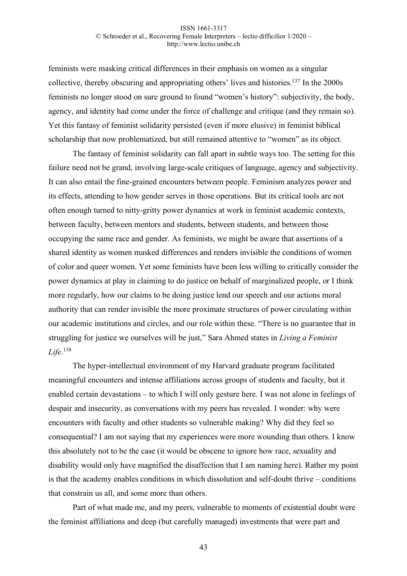feminists were masking critical differences in their emphasis on women as a singular collective, thereby obscuring and appropriating others' lives and histories.137 In the 2000s feminists no longer stood on sure ground to found "women's history": subjectivity, the body, agency, and identity had come under the force of challenge and critique (and they remain so). Yet this fantasy of feminist solidarity persisted (even if more elusive) in feminist biblical scholarship that now problematized, but still remained attentive to "women" as its object.

The fantasy of feminist solidarity can fall apart in subtle ways too. The setting for this failure need not be grand, involving large-scale critiques of language, agency and subjectivity. It can also entail the fine-grained encounters between people. Feminism analyzes power and its effects, attending to how gender serves in those operations. But its critical tools are not often enough turned to nitty-gritty power dynamics at work in feminist academic contexts, between faculty, between mentors and students, between students, and between those occupying the same race and gender. As feminists, we might be aware that assertions of a shared identity as women masked differences and renders invisible the conditions of women of color and queer women. Yet some feminists have been less willing to critically consider the power dynamics at play in claiming to do justice on behalf of marginalized people, or I think more regularly, how our claims to be doing justice lend our speech and our actions moral authority that can render invisible the more proximate structures of power circulating within our academic institutions and circles, and our role within these. "There is no guarantee that in struggling for justice we ourselves will be just," Sara Ahmed states in *Living a Feminist Life*. 138

The hyper-intellectual environment of my Harvard graduate program facilitated meaningful encounters and intense affiliations across groups of students and faculty, but it enabled certain devastations – to which I will only gesture here. I was not alone in feelings of despair and insecurity, as conversations with my peers has revealed. I wonder: why were encounters with faculty and other students so vulnerable making? Why did they feel so consequential? I am not saying that my experiences were more wounding than others. I know this absolutely not to be the case (it would be obscene to ignore how race, sexuality and disability would only have magnified the disaffection that I am naming here). Rather my point is that the academy enables conditions in which dissolution and self-doubt thrive – conditions that constrain us all, and some more than others.

Part of what made me, and my peers, vulnerable to moments of existential doubt were the feminist affiliations and deep (but carefully managed) investments that were part and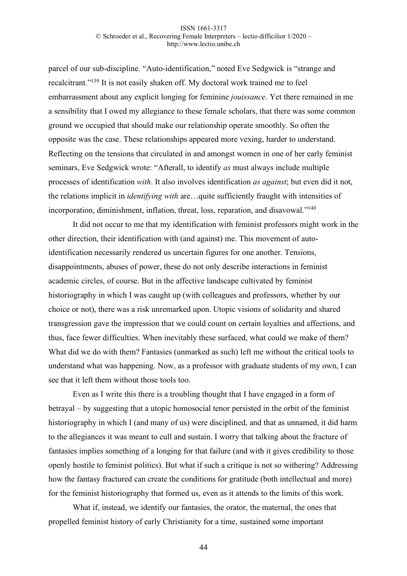parcel of our sub-discipline. "Auto-identification," noted Eve Sedgwick is "strange and recalcitrant."139 It is not easily shaken off. My doctoral work trained me to feel embarrassment about any explicit longing for feminine *jouissance*. Yet there remained in me a sensibility that I owed my allegiance to these female scholars, that there was some common ground we occupied that should make our relationship operate smoothly. So often the opposite was the case. These relationships appeared more vexing, harder to understand. Reflecting on the tensions that circulated in and amongst women in one of her early feminist seminars, Eve Sedgwick wrote: "Afterall, to identify *as* must always include multiple processes of identification *with*. It also involves identification *as against*; but even did it not, the relations implicit in *identifying with* are…quite sufficiently fraught with intensities of incorporation, diminishment, inflation, threat, loss, reparation, and disavowal."140

It did not occur to me that my identification with feminist professors might work in the other direction, their identification with (and against) me. This movement of autoidentification necessarily rendered us uncertain figures for one another. Tensions, disappointments, abuses of power, these do not only describe interactions in feminist academic circles, of course. But in the affective landscape cultivated by feminist historiography in which I was caught up (with colleagues and professors, whether by our choice or not), there was a risk unremarked upon. Utopic visions of solidarity and shared transgression gave the impression that we could count on certain loyalties and affections, and thus, face fewer difficulties. When inevitably these surfaced, what could we make of them? What did we do with them? Fantasies (unmarked as such) left me without the critical tools to understand what was happening. Now, as a professor with graduate students of my own, I can see that it left them without those tools too.

Even as I write this there is a troubling thought that I have engaged in a form of betrayal – by suggesting that a utopic homosocial tenor persisted in the orbit of the feminist historiography in which I (and many of us) were disciplined, and that as unnamed, it did harm to the allegiances it was meant to cull and sustain. I worry that talking about the fracture of fantasies implies something of a longing for that failure (and with it gives credibility to those openly hostile to feminist politics). But what if such a critique is not so withering? Addressing how the fantasy fractured can create the conditions for gratitude (both intellectual and more) for the feminist historiography that formed us, even as it attends to the limits of this work.

What if, instead, we identify our fantasies, the orator, the maternal, the ones that propelled feminist history of early Christianity for a time, sustained some important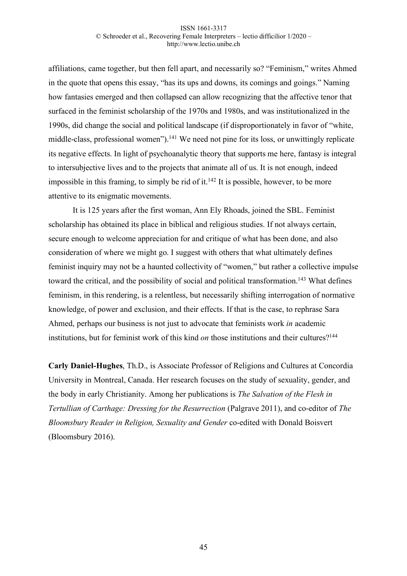affiliations, came together, but then fell apart, and necessarily so? "Feminism," writes Ahmed in the quote that opens this essay, "has its ups and downs, its comings and goings." Naming how fantasies emerged and then collapsed can allow recognizing that the affective tenor that surfaced in the feminist scholarship of the 1970s and 1980s, and was institutionalized in the 1990s, did change the social and political landscape (if disproportionately in favor of "white, middle-class, professional women").<sup>141</sup> We need not pine for its loss, or unwittingly replicate its negative effects. In light of psychoanalytic theory that supports me here, fantasy is integral to intersubjective lives and to the projects that animate all of us. It is not enough, indeed impossible in this framing, to simply be rid of it.<sup>142</sup> It is possible, however, to be more attentive to its enigmatic movements.

It is 125 years after the first woman, Ann Ely Rhoads, joined the SBL. Feminist scholarship has obtained its place in biblical and religious studies. If not always certain, secure enough to welcome appreciation for and critique of what has been done, and also consideration of where we might go. I suggest with others that what ultimately defines feminist inquiry may not be a haunted collectivity of "women," but rather a collective impulse toward the critical, and the possibility of social and political transformation.<sup>143</sup> What defines feminism, in this rendering, is a relentless, but necessarily shifting interrogation of normative knowledge, of power and exclusion, and their effects. If that is the case, to rephrase Sara Ahmed, perhaps our business is not just to advocate that feminists work *in* academic institutions, but for feminist work of this kind *on* those institutions and their cultures?<sup>144</sup>

**Carly Daniel-Hughes**, Th.D., is Associate Professor of Religions and Cultures at Concordia University in Montreal, Canada. Her research focuses on the study of sexuality, gender, and the body in early Christianity. Among her publications is *The Salvation of the Flesh in Tertullian of Carthage: Dressing for the Resurrection* (Palgrave 2011), and co-editor of *The Bloomsbury Reader in Religion, Sexuality and Gender* co-edited with Donald Boisvert (Bloomsbury 2016).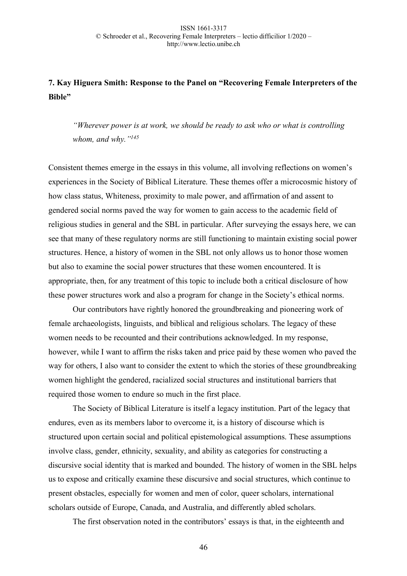# **7. Kay Higuera Smith: Response to the Panel on "Recovering Female Interpreters of the Bible"**

*"Wherever power is at work, we should be ready to ask who or what is controlling whom, and why."145*

Consistent themes emerge in the essays in this volume, all involving reflections on women's experiences in the Society of Biblical Literature. These themes offer a microcosmic history of how class status, Whiteness, proximity to male power, and affirmation of and assent to gendered social norms paved the way for women to gain access to the academic field of religious studies in general and the SBL in particular. After surveying the essays here, we can see that many of these regulatory norms are still functioning to maintain existing social power structures. Hence, a history of women in the SBL not only allows us to honor those women but also to examine the social power structures that these women encountered. It is appropriate, then, for any treatment of this topic to include both a critical disclosure of how these power structures work and also a program for change in the Society's ethical norms.

Our contributors have rightly honored the groundbreaking and pioneering work of female archaeologists, linguists, and biblical and religious scholars. The legacy of these women needs to be recounted and their contributions acknowledged. In my response, however, while I want to affirm the risks taken and price paid by these women who paved the way for others, I also want to consider the extent to which the stories of these groundbreaking women highlight the gendered, racialized social structures and institutional barriers that required those women to endure so much in the first place.

The Society of Biblical Literature is itself a legacy institution. Part of the legacy that endures, even as its members labor to overcome it, is a history of discourse which is structured upon certain social and political epistemological assumptions. These assumptions involve class, gender, ethnicity, sexuality, and ability as categories for constructing a discursive social identity that is marked and bounded. The history of women in the SBL helps us to expose and critically examine these discursive and social structures, which continue to present obstacles, especially for women and men of color, queer scholars, international scholars outside of Europe, Canada, and Australia, and differently abled scholars.

The first observation noted in the contributors' essays is that, in the eighteenth and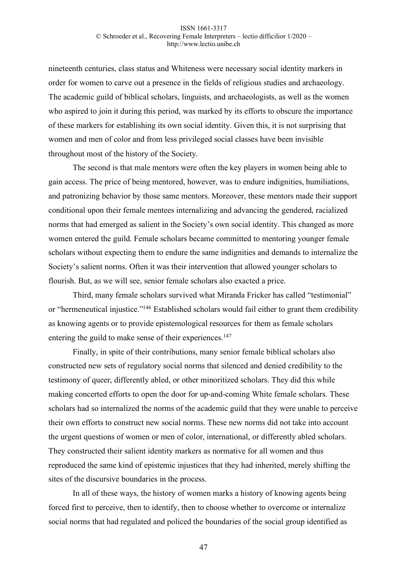nineteenth centuries, class status and Whiteness were necessary social identity markers in order for women to carve out a presence in the fields of religious studies and archaeology. The academic guild of biblical scholars, linguists, and archaeologists, as well as the women who aspired to join it during this period, was marked by its efforts to obscure the importance of these markers for establishing its own social identity. Given this, it is not surprising that women and men of color and from less privileged social classes have been invisible throughout most of the history of the Society.

The second is that male mentors were often the key players in women being able to gain access. The price of being mentored, however, was to endure indignities, humiliations, and patronizing behavior by those same mentors. Moreover, these mentors made their support conditional upon their female mentees internalizing and advancing the gendered, racialized norms that had emerged as salient in the Society's own social identity. This changed as more women entered the guild. Female scholars became committed to mentoring younger female scholars without expecting them to endure the same indignities and demands to internalize the Society's salient norms. Often it was their intervention that allowed younger scholars to flourish. But, as we will see, senior female scholars also exacted a price.

Third, many female scholars survived what Miranda Fricker has called "testimonial" or "hermeneutical injustice."<sup>146</sup> Established scholars would fail either to grant them credibility as knowing agents or to provide epistemological resources for them as female scholars entering the guild to make sense of their experiences.<sup>147</sup>

Finally, in spite of their contributions, many senior female biblical scholars also constructed new sets of regulatory social norms that silenced and denied credibility to the testimony of queer, differently abled, or other minoritized scholars. They did this while making concerted efforts to open the door for up-and-coming White female scholars. These scholars had so internalized the norms of the academic guild that they were unable to perceive their own efforts to construct new social norms. These new norms did not take into account the urgent questions of women or men of color, international, or differently abled scholars. They constructed their salient identity markers as normative for all women and thus reproduced the same kind of epistemic injustices that they had inherited, merely shifting the sites of the discursive boundaries in the process.

In all of these ways, the history of women marks a history of knowing agents being forced first to perceive, then to identify, then to choose whether to overcome or internalize social norms that had regulated and policed the boundaries of the social group identified as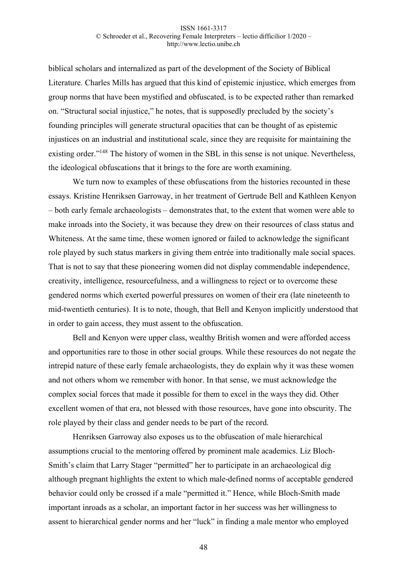biblical scholars and internalized as part of the development of the Society of Biblical Literature. Charles Mills has argued that this kind of epistemic injustice, which emerges from group norms that have been mystified and obfuscated, is to be expected rather than remarked on. "Structural social injustice," he notes, that is supposedly precluded by the society's founding principles will generate structural opacities that can be thought of as epistemic injustices on an industrial and institutional scale, since they are requisite for maintaining the existing order."<sup>148</sup> The history of women in the SBL in this sense is not unique. Nevertheless, the ideological obfuscations that it brings to the fore are worth examining.

We turn now to examples of these obfuscations from the histories recounted in these essays. Kristine Henriksen Garroway, in her treatment of Gertrude Bell and Kathleen Kenyon – both early female archaeologists – demonstrates that, to the extent that women were able to make inroads into the Society, it was because they drew on their resources of class status and Whiteness. At the same time, these women ignored or failed to acknowledge the significant role played by such status markers in giving them entrée into traditionally male social spaces. That is not to say that these pioneering women did not display commendable independence, creativity, intelligence, resourcefulness, and a willingness to reject or to overcome these gendered norms which exerted powerful pressures on women of their era (late nineteenth to mid-twentieth centuries). It is to note, though, that Bell and Kenyon implicitly understood that in order to gain access, they must assent to the obfuscation.

Bell and Kenyon were upper class, wealthy British women and were afforded access and opportunities rare to those in other social groups. While these resources do not negate the intrepid nature of these early female archaeologists, they do explain why it was these women and not others whom we remember with honor. In that sense, we must acknowledge the complex social forces that made it possible for them to excel in the ways they did. Other excellent women of that era, not blessed with those resources, have gone into obscurity. The role played by their class and gender needs to be part of the record.

Henriksen Garroway also exposes us to the obfuscation of male hierarchical assumptions crucial to the mentoring offered by prominent male academics. Liz Bloch-Smith's claim that Larry Stager "permitted" her to participate in an archaeological dig although pregnant highlights the extent to which male-defined norms of acceptable gendered behavior could only be crossed if a male "permitted it." Hence, while Bloch-Smith made important inroads as a scholar, an important factor in her success was her willingness to assent to hierarchical gender norms and her "luck" in finding a male mentor who employed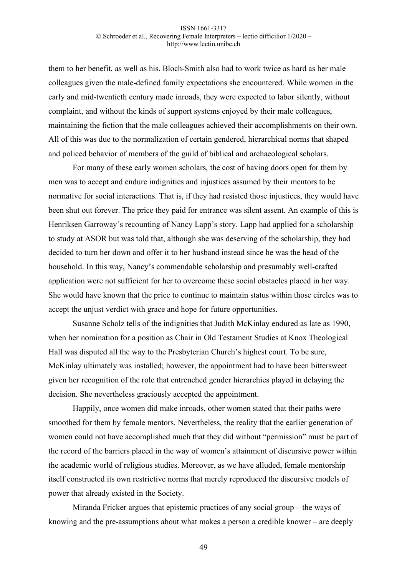them to her benefit. as well as his. Bloch-Smith also had to work twice as hard as her male colleagues given the male-defined family expectations she encountered. While women in the early and mid-twentieth century made inroads, they were expected to labor silently, without complaint, and without the kinds of support systems enjoyed by their male colleagues, maintaining the fiction that the male colleagues achieved their accomplishments on their own. All of this was due to the normalization of certain gendered, hierarchical norms that shaped and policed behavior of members of the guild of biblical and archaeological scholars.

For many of these early women scholars, the cost of having doors open for them by men was to accept and endure indignities and injustices assumed by their mentors to be normative for social interactions. That is, if they had resisted those injustices, they would have been shut out forever. The price they paid for entrance was silent assent. An example of this is Henriksen Garroway's recounting of Nancy Lapp's story. Lapp had applied for a scholarship to study at ASOR but was told that, although she was deserving of the scholarship, they had decided to turn her down and offer it to her husband instead since he was the head of the household. In this way, Nancy's commendable scholarship and presumably well-crafted application were not sufficient for her to overcome these social obstacles placed in her way. She would have known that the price to continue to maintain status within those circles was to accept the unjust verdict with grace and hope for future opportunities.

Susanne Scholz tells of the indignities that Judith McKinlay endured as late as 1990, when her nomination for a position as Chair in Old Testament Studies at Knox Theological Hall was disputed all the way to the Presbyterian Church's highest court. To be sure, McKinlay ultimately was installed; however, the appointment had to have been bittersweet given her recognition of the role that entrenched gender hierarchies played in delaying the decision. She nevertheless graciously accepted the appointment.

Happily, once women did make inroads, other women stated that their paths were smoothed for them by female mentors. Nevertheless, the reality that the earlier generation of women could not have accomplished much that they did without "permission" must be part of the record of the barriers placed in the way of women's attainment of discursive power within the academic world of religious studies. Moreover, as we have alluded, female mentorship itself constructed its own restrictive norms that merely reproduced the discursive models of power that already existed in the Society.

Miranda Fricker argues that epistemic practices of any social group – the ways of knowing and the pre-assumptions about what makes a person a credible knower – are deeply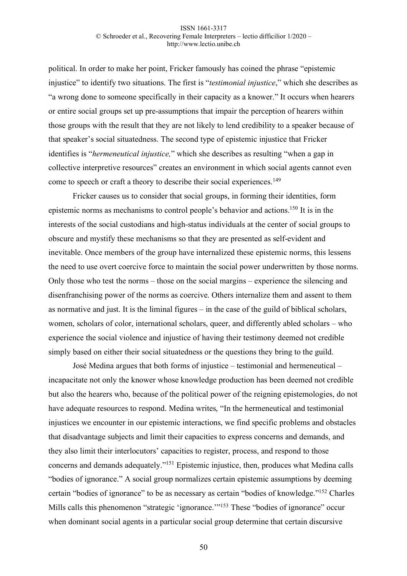political. In order to make her point, Fricker famously has coined the phrase "epistemic injustice" to identify two situations. The first is "*testimonial injustice*," which she describes as "a wrong done to someone specifically in their capacity as a knower." It occurs when hearers or entire social groups set up pre-assumptions that impair the perception of hearers within those groups with the result that they are not likely to lend credibility to a speaker because of that speaker's social situatedness. The second type of epistemic injustice that Fricker identifies is "*hermeneutical injustice,*" which she describes as resulting "when a gap in collective interpretive resources" creates an environment in which social agents cannot even come to speech or craft a theory to describe their social experiences.<sup>149</sup>

Fricker causes us to consider that social groups, in forming their identities, form epistemic norms as mechanisms to control people's behavior and actions.150 It is in the interests of the social custodians and high-status individuals at the center of social groups to obscure and mystify these mechanisms so that they are presented as self-evident and inevitable. Once members of the group have internalized these epistemic norms, this lessens the need to use overt coercive force to maintain the social power underwritten by those norms. Only those who test the norms – those on the social margins – experience the silencing and disenfranchising power of the norms as coercive. Others internalize them and assent to them as normative and just. It is the liminal figures – in the case of the guild of biblical scholars, women, scholars of color, international scholars, queer, and differently abled scholars – who experience the social violence and injustice of having their testimony deemed not credible simply based on either their social situatedness or the questions they bring to the guild.

José Medina argues that both forms of injustice – testimonial and hermeneutical – incapacitate not only the knower whose knowledge production has been deemed not credible but also the hearers who, because of the political power of the reigning epistemologies, do not have adequate resources to respond. Medina writes, "In the hermeneutical and testimonial injustices we encounter in our epistemic interactions, we find specific problems and obstacles that disadvantage subjects and limit their capacities to express concerns and demands, and they also limit their interlocutors' capacities to register, process, and respond to those concerns and demands adequately."151 Epistemic injustice, then, produces what Medina calls "bodies of ignorance." A social group normalizes certain epistemic assumptions by deeming certain "bodies of ignorance" to be as necessary as certain "bodies of knowledge."152 Charles Mills calls this phenomenon "strategic 'ignorance.'"153 These "bodies of ignorance" occur when dominant social agents in a particular social group determine that certain discursive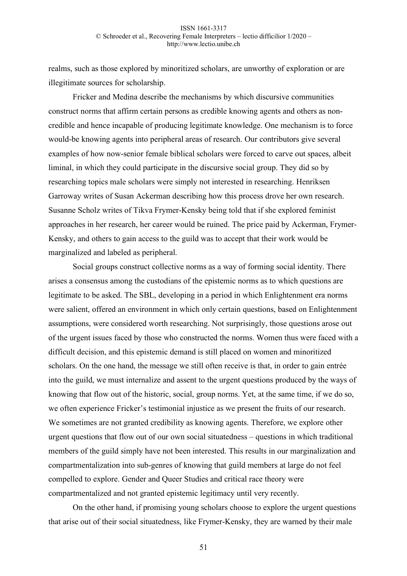realms, such as those explored by minoritized scholars, are unworthy of exploration or are illegitimate sources for scholarship.

Fricker and Medina describe the mechanisms by which discursive communities construct norms that affirm certain persons as credible knowing agents and others as noncredible and hence incapable of producing legitimate knowledge. One mechanism is to force would-be knowing agents into peripheral areas of research. Our contributors give several examples of how now-senior female biblical scholars were forced to carve out spaces, albeit liminal, in which they could participate in the discursive social group. They did so by researching topics male scholars were simply not interested in researching. Henriksen Garroway writes of Susan Ackerman describing how this process drove her own research. Susanne Scholz writes of Tikva Frymer-Kensky being told that if she explored feminist approaches in her research, her career would be ruined. The price paid by Ackerman, Frymer-Kensky, and others to gain access to the guild was to accept that their work would be marginalized and labeled as peripheral.

Social groups construct collective norms as a way of forming social identity. There arises a consensus among the custodians of the epistemic norms as to which questions are legitimate to be asked. The SBL, developing in a period in which Enlightenment era norms were salient, offered an environment in which only certain questions, based on Enlightenment assumptions, were considered worth researching. Not surprisingly, those questions arose out of the urgent issues faced by those who constructed the norms. Women thus were faced with a difficult decision, and this epistemic demand is still placed on women and minoritized scholars. On the one hand, the message we still often receive is that, in order to gain entrée into the guild, we must internalize and assent to the urgent questions produced by the ways of knowing that flow out of the historic, social, group norms. Yet, at the same time, if we do so, we often experience Fricker's testimonial injustice as we present the fruits of our research. We sometimes are not granted credibility as knowing agents. Therefore, we explore other urgent questions that flow out of our own social situatedness – questions in which traditional members of the guild simply have not been interested. This results in our marginalization and compartmentalization into sub-genres of knowing that guild members at large do not feel compelled to explore. Gender and Queer Studies and critical race theory were compartmentalized and not granted epistemic legitimacy until very recently.

On the other hand, if promising young scholars choose to explore the urgent questions that arise out of their social situatedness, like Frymer-Kensky, they are warned by their male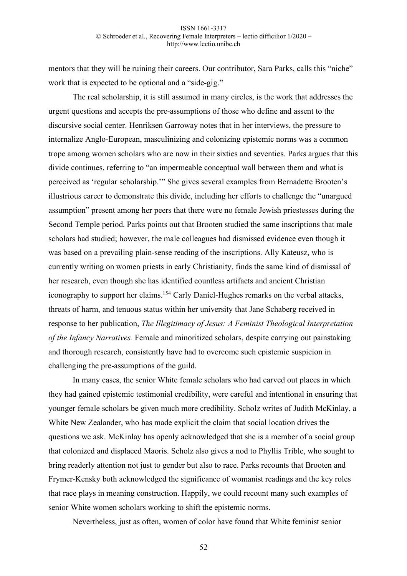mentors that they will be ruining their careers. Our contributor, Sara Parks, calls this "niche" work that is expected to be optional and a "side-gig."

The real scholarship, it is still assumed in many circles, is the work that addresses the urgent questions and accepts the pre-assumptions of those who define and assent to the discursive social center. Henriksen Garroway notes that in her interviews, the pressure to internalize Anglo-European, masculinizing and colonizing epistemic norms was a common trope among women scholars who are now in their sixties and seventies. Parks argues that this divide continues, referring to "an impermeable conceptual wall between them and what is perceived as 'regular scholarship.'" She gives several examples from Bernadette Brooten's illustrious career to demonstrate this divide, including her efforts to challenge the "unargued assumption" present among her peers that there were no female Jewish priestesses during the Second Temple period. Parks points out that Brooten studied the same inscriptions that male scholars had studied; however, the male colleagues had dismissed evidence even though it was based on a prevailing plain-sense reading of the inscriptions. Ally Kateusz, who is currently writing on women priests in early Christianity, finds the same kind of dismissal of her research, even though she has identified countless artifacts and ancient Christian iconography to support her claims.<sup>154</sup> Carly Daniel-Hughes remarks on the verbal attacks, threats of harm, and tenuous status within her university that Jane Schaberg received in response to her publication, *The Illegitimacy of Jesus: A Feminist Theological Interpretation of the Infancy Narratives.* Female and minoritized scholars, despite carrying out painstaking and thorough research, consistently have had to overcome such epistemic suspicion in challenging the pre-assumptions of the guild.

In many cases, the senior White female scholars who had carved out places in which they had gained epistemic testimonial credibility, were careful and intentional in ensuring that younger female scholars be given much more credibility. Scholz writes of Judith McKinlay, a White New Zealander, who has made explicit the claim that social location drives the questions we ask. McKinlay has openly acknowledged that she is a member of a social group that colonized and displaced Maoris. Scholz also gives a nod to Phyllis Trible, who sought to bring readerly attention not just to gender but also to race. Parks recounts that Brooten and Frymer-Kensky both acknowledged the significance of womanist readings and the key roles that race plays in meaning construction. Happily, we could recount many such examples of senior White women scholars working to shift the epistemic norms.

Nevertheless, just as often, women of color have found that White feminist senior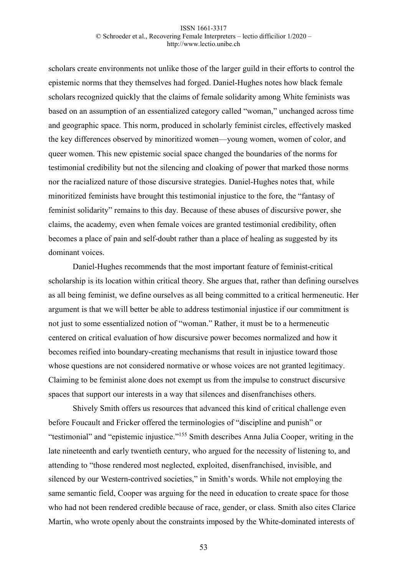scholars create environments not unlike those of the larger guild in their efforts to control the epistemic norms that they themselves had forged. Daniel-Hughes notes how black female scholars recognized quickly that the claims of female solidarity among White feminists was based on an assumption of an essentialized category called "woman," unchanged across time and geographic space. This norm, produced in scholarly feminist circles, effectively masked the key differences observed by minoritized women—young women, women of color, and queer women. This new epistemic social space changed the boundaries of the norms for testimonial credibility but not the silencing and cloaking of power that marked those norms nor the racialized nature of those discursive strategies. Daniel-Hughes notes that, while minoritized feminists have brought this testimonial injustice to the fore, the "fantasy of feminist solidarity" remains to this day. Because of these abuses of discursive power, she claims, the academy, even when female voices are granted testimonial credibility, often becomes a place of pain and self-doubt rather than a place of healing as suggested by its dominant voices.

Daniel-Hughes recommends that the most important feature of feminist-critical scholarship is its location within critical theory. She argues that, rather than defining ourselves as all being feminist, we define ourselves as all being committed to a critical hermeneutic. Her argument is that we will better be able to address testimonial injustice if our commitment is not just to some essentialized notion of "woman." Rather, it must be to a hermeneutic centered on critical evaluation of how discursive power becomes normalized and how it becomes reified into boundary-creating mechanisms that result in injustice toward those whose questions are not considered normative or whose voices are not granted legitimacy. Claiming to be feminist alone does not exempt us from the impulse to construct discursive spaces that support our interests in a way that silences and disenfranchises others.

Shively Smith offers us resources that advanced this kind of critical challenge even before Foucault and Fricker offered the terminologies of "discipline and punish" or "testimonial" and "epistemic injustice."155 Smith describes Anna Julia Cooper, writing in the late nineteenth and early twentieth century, who argued for the necessity of listening to, and attending to "those rendered most neglected, exploited, disenfranchised, invisible, and silenced by our Western-contrived societies," in Smith's words. While not employing the same semantic field, Cooper was arguing for the need in education to create space for those who had not been rendered credible because of race, gender, or class. Smith also cites Clarice Martin, who wrote openly about the constraints imposed by the White-dominated interests of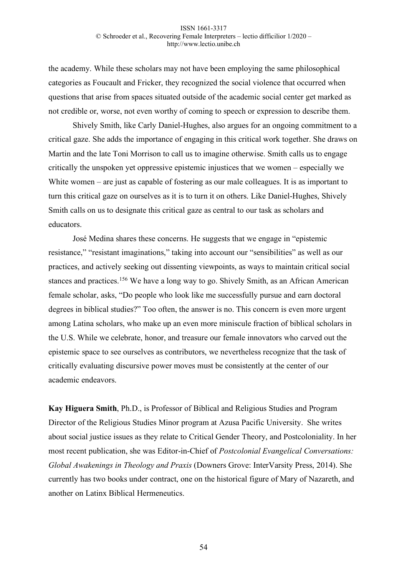the academy. While these scholars may not have been employing the same philosophical categories as Foucault and Fricker, they recognized the social violence that occurred when questions that arise from spaces situated outside of the academic social center get marked as not credible or, worse, not even worthy of coming to speech or expression to describe them.

Shively Smith, like Carly Daniel-Hughes, also argues for an ongoing commitment to a critical gaze. She adds the importance of engaging in this critical work together. She draws on Martin and the late Toni Morrison to call us to imagine otherwise. Smith calls us to engage critically the unspoken yet oppressive epistemic injustices that we women – especially we White women – are just as capable of fostering as our male colleagues. It is as important to turn this critical gaze on ourselves as it is to turn it on others. Like Daniel-Hughes, Shively Smith calls on us to designate this critical gaze as central to our task as scholars and educators.

José Medina shares these concerns. He suggests that we engage in "epistemic resistance," "resistant imaginations," taking into account our "sensibilities" as well as our practices, and actively seeking out dissenting viewpoints, as ways to maintain critical social stances and practices.<sup>156</sup> We have a long way to go. Shively Smith, as an African American female scholar, asks, "Do people who look like me successfully pursue and earn doctoral degrees in biblical studies?" Too often, the answer is no. This concern is even more urgent among Latina scholars, who make up an even more miniscule fraction of biblical scholars in the U.S. While we celebrate, honor, and treasure our female innovators who carved out the epistemic space to see ourselves as contributors, we nevertheless recognize that the task of critically evaluating discursive power moves must be consistently at the center of our academic endeavors.

**Kay Higuera Smith**, Ph.D., is Professor of Biblical and Religious Studies and Program Director of the Religious Studies Minor program at Azusa Pacific University. She writes about social justice issues as they relate to Critical Gender Theory, and Postcoloniality. In her most recent publication, she was Editor-in-Chief of *Postcolonial Evangelical Conversations: Global Awakenings in Theology and Praxis* (Downers Grove: InterVarsity Press, 2014). She currently has two books under contract, one on the historical figure of Mary of Nazareth, and another on Latinx Biblical Hermeneutics.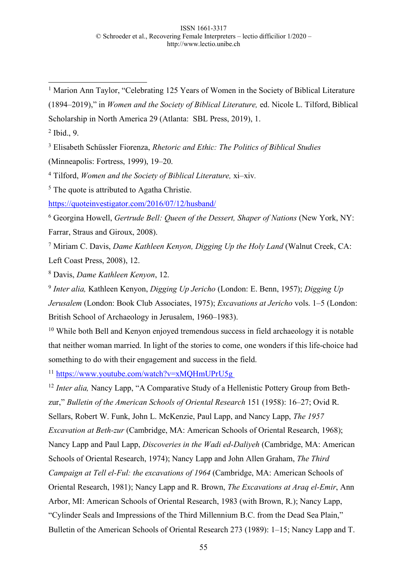<sup>1</sup> Marion Ann Taylor, "Celebrating 125 Years of Women in the Society of Biblical Literature (1894–2019)," in *Women and the Society of Biblical Literature,* ed. Nicole L. Tilford, Biblical

Scholarship in North America 29 (Atlanta: SBL Press, 2019), 1.

<sup>2</sup> Ibid., 9.

<sup>3</sup> Elisabeth Schüssler Fiorenza, *Rhetoric and Ethic: The Politics of Biblical Studies* 

(Minneapolis: Fortress, 1999), 19–20.

<sup>4</sup> Tilford, *Women and the Society of Biblical Literature,* xi–xiv*.*

<sup>5</sup> The quote is attributed to Agatha Christie.

https://quoteinvestigator.com/2016/07/12/husband/

<sup>6</sup> Georgina Howell, *Gertrude Bell: Queen of the Dessert, Shaper of Nations* (New York, NY: Farrar, Straus and Giroux, 2008).

<sup>7</sup> Miriam C. Davis, *Dame Kathleen Kenyon, Digging Up the Holy Land* (Walnut Creek, CA: Left Coast Press, 2008), 12.

<sup>8</sup> Davis, *Dame Kathleen Kenyon*, 12.

<sup>9</sup> *Inter alia,* Kathleen Kenyon, *Digging Up Jericho* (London: E. Benn, 1957); *Digging Up Jerusalem* (London: Book Club Associates, 1975); *Excavations at Jericho* vols. 1–5 (London: British School of Archaeology in Jerusalem, 1960–1983).

<sup>10</sup> While both Bell and Kenyon enjoyed tremendous success in field archaeology it is notable that neither woman married. In light of the stories to come, one wonders if this life-choice had something to do with their engagement and success in the field.

<sup>11</sup> https://www.youtube.com/watch?v=xMQHmUPrU5g

<sup>12</sup> *Inter alia,* Nancy Lapp, "A Comparative Study of a Hellenistic Pottery Group from Bethzur," *Bulletin of the American Schools of Oriental Research* 151 (1958): 16–27; Ovid R. Sellars, Robert W. Funk, John L. McKenzie, Paul Lapp, and Nancy Lapp, *The 1957 Excavation at Beth-zur* (Cambridge, MA: American Schools of Oriental Research, 1968); Nancy Lapp and Paul Lapp, *Discoveries in the Wadi ed-Daliyeh* (Cambridge, MA: American Schools of Oriental Research, 1974); Nancy Lapp and John Allen Graham, *The Third Campaign at Tell el-Ful: the excavations of 1964* (Cambridge, MA: American Schools of Oriental Research, 1981); Nancy Lapp and R. Brown, *The Excavations at Araq el-Emir*, Ann Arbor, MI: American Schools of Oriental Research, 1983 (with Brown, R.); Nancy Lapp, "Cylinder Seals and Impressions of the Third Millennium B.C. from the Dead Sea Plain," Bulletin of the American Schools of Oriental Research 273 (1989): 1–15; Nancy Lapp and T.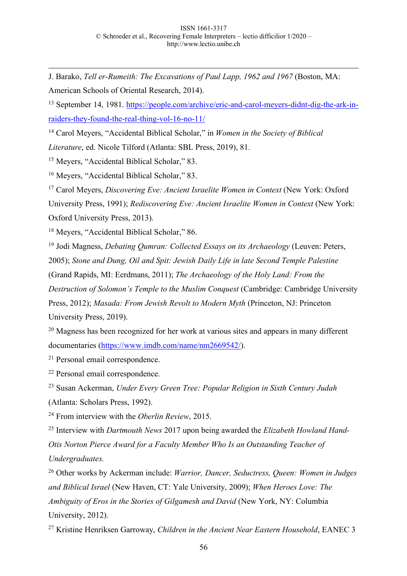1 J. Barako, *Tell er-Rumeith: The Excavations of Paul Lapp, 1962 and 1967* (Boston, MA: American Schools of Oriental Research, 2014).

<sup>13</sup> September 14, 1981. https://people.com/archive/eric-and-carol-meyers-didnt-dig-the-ark-inraiders-they-found-the-real-thing-vol-16-no-11/

<sup>14</sup> Carol Meyers, "Accidental Biblical Scholar," in *Women in the Society of Biblical Literature*, ed. Nicole Tilford (Atlanta: SBL Press, 2019), 81.

<sup>15</sup> Meyers, "Accidental Biblical Scholar," 83.

<sup>16</sup> Meyers, "Accidental Biblical Scholar," 83.

<sup>17</sup> Carol Meyers, *Discovering Eve: Ancient Israelite Women in Context* (New York: Oxford

University Press, 1991); *Rediscovering Eve: Ancient Israelite Women in Context* (New York: Oxford University Press, 2013).

<sup>18</sup> Meyers, "Accidental Biblical Scholar," 86.

<sup>19</sup> Jodi Magness, *Debating Qumran: Collected Essays on its Archaeology* (Leuven: Peters,

2005); *Stone and Dung, Oil and Spit: Jewish Daily Life in late Second Temple Palestine* 

(Grand Rapids, MI: Eerdmans, 2011); *The Archaeology of the Holy Land: From the* 

*Destruction of Solomon's Temple to the Muslim Conquest* (Cambridge: Cambridge University

Press, 2012); *Masada: From Jewish Revolt to Modern Myth* (Princeton, NJ: Princeton University Press, 2019).

<sup>20</sup> Magness has been recognized for her work at various sites and appears in many different documentaries (https://www.imdb.com/name/nm2669542/).

<sup>21</sup> Personal email correspondence.

<sup>22</sup> Personal email correspondence.

<sup>23</sup> Susan Ackerman, *Under Every Green Tree: Popular Religion in Sixth Century Judah* (Atlanta: Scholars Press, 1992).

<sup>24</sup> From interview with the *Oberlin Review*, 2015.

<sup>25</sup> Interview with *Dartmouth News* 2017 upon being awarded the *Elizabeth Howland Hand-Otis Norton Pierce Award for a Faculty Member Who Is an Outstanding Teacher of Undergraduates.*

<sup>26</sup> Other works by Ackerman include: *Warrior, Dancer, Seductress, Queen: Women in Judges and Biblical Israel* (New Haven, CT: Yale University, 2009); *When Heroes Love: The Ambiguity of Eros in the Stories of Gilgamesh and David* (New York, NY: Columbia University, 2012).

<sup>27</sup> Kristine Henriksen Garroway, *Children in the Ancient Near Eastern Household*, EANEC 3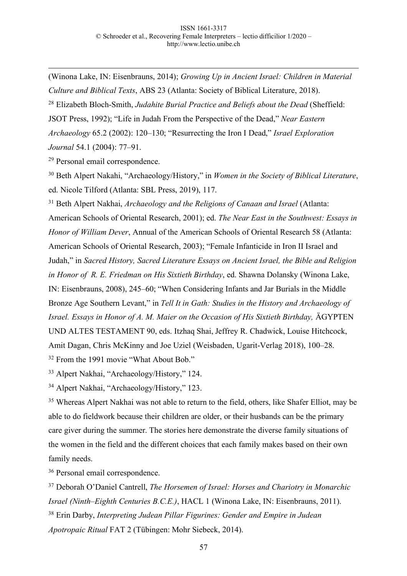1 (Winona Lake, IN: Eisenbrauns, 2014); *Growing Up in Ancient Israel: Children in Material Culture and Biblical Texts*, ABS 23 (Atlanta: Society of Biblical Literature, 2018). <sup>28</sup> Elizabeth Bloch-Smith, *Judahite Burial Practice and Beliefs about the Dead* (Sheffield: JSOT Press, 1992); "Life in Judah From the Perspective of the Dead," *Near Eastern Archaeology* 65.2 (2002): 120–130; "Resurrecting the Iron I Dead," *Israel Exploration Journal* 54.1 (2004): 77–91.

<sup>29</sup> Personal email correspondence.

<sup>30</sup> Beth Alpert Nakahi, "Archaeology/History," in *Women in the Society of Biblical Literature*, ed. Nicole Tilford (Atlanta: SBL Press, 2019), 117.

<sup>31</sup> Beth Alpert Nakhai, *Archaeology and the Religions of Canaan and Israel* (Atlanta: American Schools of Oriental Research, 2001); ed. *The Near East in the Southwest: Essays in Honor of William Dever*, Annual of the American Schools of Oriental Research 58 (Atlanta: American Schools of Oriental Research, 2003); "Female Infanticide in Iron II Israel and Judah," in *Sacred History, Sacred Literature Essays on Ancient Israel, the Bible and Religion in Honor of R. E. Friedman on His Sixtieth Birthday*, ed. Shawna Dolansky (Winona Lake, IN: Eisenbrauns, 2008), 245–60; "When Considering Infants and Jar Burials in the Middle Bronze Age Southern Levant," in *Tell It in Gath: Studies in the History and Archaeology of Israel. Essays in Honor of A. M. Maier on the Occasion of His Sixtieth Birthday,* ÄGYPTEN UND ALTES TESTAMENT 90, eds. Itzhaq Shai, Jeffrey R. Chadwick, Louise Hitchcock, Amit Dagan, Chris McKinny and Joe Uziel (Weisbaden, Ugarit-Verlag 2018), 100–28. <sup>32</sup> From the 1991 movie "What About Bob."

<sup>33</sup> Alpert Nakhai, "Archaeology/History," 124.

<sup>34</sup> Alpert Nakhai, "Archaeology/History," 123.

<sup>35</sup> Whereas Alpert Nakhai was not able to return to the field, others, like Shafer Elliot, may be able to do fieldwork because their children are older, or their husbands can be the primary care giver during the summer. The stories here demonstrate the diverse family situations of the women in the field and the different choices that each family makes based on their own family needs.

<sup>36</sup> Personal email correspondence.

<sup>37</sup> Deborah O'Daniel Cantrell, *The Horsemen of Israel: Horses and Chariotry in Monarchic Israel (Ninth–Eighth Centuries B.C.E.)*, HACL 1 (Winona Lake, IN: Eisenbrauns, 2011). <sup>38</sup> Erin Darby, *Interpreting Judean Pillar Figurines: Gender and Empire in Judean Apotropaic Ritual* FAT 2 (Tübingen: Mohr Siebeck, 2014).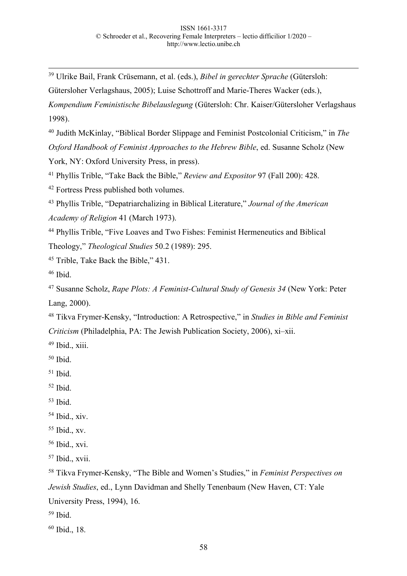39 Ulrike Bail, Frank Crüsemann, et al. (eds.), *Bibel in gerechter Sprache* (Gütersloh:

Gütersloher Verlagshaus, 2005); Luise Schottroff and Marie-Theres Wacker (eds.), *Kompendium Feministische Bibelauslegung* (Gütersloh: Chr. Kaiser/Gütersloher Verlagshaus 1998).

<sup>40</sup> Judith McKinlay, "Biblical Border Slippage and Feminist Postcolonial Criticism," in *The Oxford Handbook of Feminist Approaches to the Hebrew Bible*, ed. Susanne Scholz (New

York, NY: Oxford University Press, in press).

<sup>41</sup> Phyllis Trible, "Take Back the Bible," *Review and Expositor* 97 (Fall 200): 428.

<sup>42</sup> Fortress Press published both volumes.

<sup>43</sup> Phyllis Trible, "Depatriarchalizing in Biblical Literature," *Journal of the American Academy of Religion* 41 (March 1973).

<sup>44</sup> Phyllis Trible, "Five Loaves and Two Fishes: Feminist Hermeneutics and Biblical Theology," *Theological Studies* 50.2 (1989): 295.

<sup>45</sup> Trible, Take Back the Bible," 431.

 $46$  Ibid.

<sup>47</sup> Susanne Scholz, *Rape Plots: A Feminist-Cultural Study of Genesis 34* (New York: Peter Lang, 2000).

<sup>48</sup> Tikva Frymer-Kensky, "Introduction: A Retrospective," in *Studies in Bible and Feminist Criticism* (Philadelphia, PA: The Jewish Publication Society, 2006), xi–xii.

 $49$  Ibid., xiii.

 $50$  Ibid.

 $51$  Ibid.

- $52$  Ibid.
- $53$  Ibid.

<sup>54</sup> Ibid., xiv.

 $55$  Ibid., xv.

<sup>56</sup> Ibid., xvi.

<sup>57</sup> Ibid., xvii.

<sup>58</sup> Tikva Frymer-Kensky, "The Bible and Women's Studies," in *Feminist Perspectives on Jewish Studies*, ed., Lynn Davidman and Shelly Tenenbaum (New Haven, CT: Yale University Press, 1994), 16.

 $59$  Ibid.

<sup>60</sup> Ibid., 18.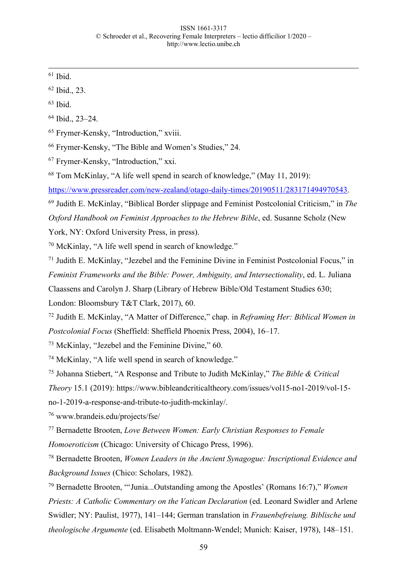$61$  Ibid.

<sup>62</sup> Ibid., 23.

 $63$  Ibid.

<sup>64</sup> Ibid., 23–24.

<sup>65</sup> Frymer-Kensky, "Introduction," xviii.

<sup>66</sup> Frymer-Kensky, "The Bible and Women's Studies," 24.

<sup>67</sup> Frymer-Kensky, "Introduction," xxi.

<sup>68</sup> Tom McKinlay, "A life well spend in search of knowledge," (May 11, 2019):

https://www.pressreader.com/new-zealand/otago-daily-times/20190511/283171494970543.

<sup>69</sup> Judith E. McKinlay, "Biblical Border slippage and Feminist Postcolonial Criticism," in *The Oxford Handbook on Feminist Approaches to the Hebrew Bible*, ed. Susanne Scholz (New

York, NY: Oxford University Press, in press).

<sup>70</sup> McKinlay, "A life well spend in search of knowledge."

<sup>71</sup> Judith E. McKinlay, "Jezebel and the Feminine Divine in Feminist Postcolonial Focus," in *Feminist Frameworks and the Bible: Power, Ambiguity, and Intersectionality*, ed. L. Juliana Claassens and Carolyn J. Sharp (Library of Hebrew Bible/Old Testament Studies 630;

London: Bloomsbury T&T Clark, 2017), 60.

<sup>72</sup> Judith E. McKinlay, "A Matter of Difference," chap. in *Reframing Her: Biblical Women in Postcolonial Focus* (Sheffield: Sheffield Phoenix Press, 2004), 16–17.

<sup>73</sup> McKinlay, "Jezebel and the Feminine Divine," 60.

<sup>74</sup> McKinlay, "A life well spend in search of knowledge."

<sup>75</sup> Johanna Stiebert, "A Response and Tribute to Judith McKinlay," *The Bible & Critical* 

*Theory* 15.1 (2019): https://www.bibleandcriticaltheory.com/issues/vol15-no1-2019/vol-15-

no-1-2019-a-response-and-tribute-to-judith-mckinlay/.

<sup>76</sup> www.brandeis.edu/projects/fse/

<sup>77</sup> Bernadette Brooten, *Love Between Women: Early Christian Responses to Female* 

*Homoeroticism* (Chicago: University of Chicago Press, 1996).

<sup>78</sup> Bernadette Brooten, *Women Leaders in the Ancient Synagogue: Inscriptional Evidence and Background Issues* (Chico: Scholars, 1982).

<sup>79</sup> Bernadette Brooten, "'Junia...Outstanding among the Apostles' (Romans 16:7)," *Women Priests: A Catholic Commentary on the Vatican Declaration (ed. Leonard Swidler and Arlene* Swidler; NY: Paulist, 1977), 141–144; German translation in *Frauenbefreiung. Biblische und theologische Argumente* (ed. Elisabeth Moltmann-Wendel; Munich: Kaiser, 1978), 148–151.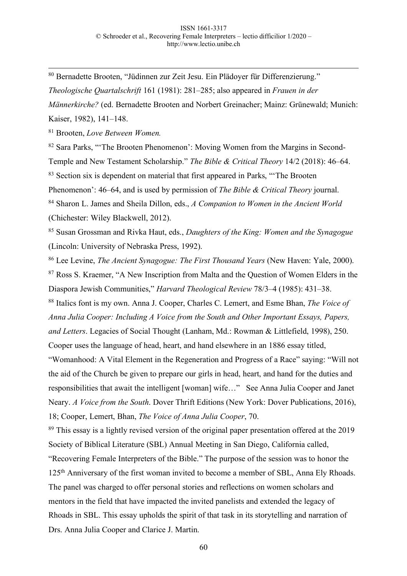80 Bernadette Brooten, "Jüdinnen zur Zeit Jesu. Ein Plädoyer für Differenzierung."

*Theologische Quartalschrift* 161 (1981): 281–285; also appeared in *Frauen in der Männerkirche?* (ed. Bernadette Brooten and Norbert Greinacher; Mainz: Grünewald; Munich: Kaiser, 1982), 141–148.

<sup>81</sup> Brooten, *Love Between Women.*

<sup>82</sup> Sara Parks, "'The Brooten Phenomenon': Moving Women from the Margins in Second-Temple and New Testament Scholarship." *The Bible & Critical Theory* 14/2 (2018): 46–64. <sup>83</sup> Section six is dependent on material that first appeared in Parks, "The Brooten Phenomenon': 46–64, and is used by permission of *The Bible & Critical Theory* journal. <sup>84</sup> Sharon L. James and Sheila Dillon, eds., *A Companion to Women in the Ancient World* (Chichester: Wiley Blackwell, 2012).

<sup>85</sup> Susan Grossman and Rivka Haut, eds., *Daughters of the King: Women and the Synagogue* (Lincoln: University of Nebraska Press, 1992).

<sup>86</sup> Lee Levine, *The Ancient Synagogue: The First Thousand Years* (New Haven: Yale, 2000).

<sup>87</sup> Ross S. Kraemer, "A New Inscription from Malta and the Question of Women Elders in the Diaspora Jewish Communities," *Harvard Theological Review* 78/3–4 (1985): 431–38.

<sup>88</sup> Italics font is my own. Anna J. Cooper, Charles C. Lemert, and Esme Bhan, *The Voice of Anna Julia Cooper: Including A Voice from the South and Other Important Essays, Papers, and Letters*. Legacies of Social Thought (Lanham, Md.: Rowman & Littlefield, 1998), 250. Cooper uses the language of head, heart, and hand elsewhere in an 1886 essay titled,

"Womanhood: A Vital Element in the Regeneration and Progress of a Race" saying: "Will not the aid of the Church be given to prepare our girls in head, heart, and hand for the duties and responsibilities that await the intelligent [woman] wife…" See Anna Julia Cooper and Janet Neary. *A Voice from the South*. Dover Thrift Editions (New York: Dover Publications, 2016), 18; Cooper, Lemert, Bhan, *The Voice of Anna Julia Cooper*, 70.

<sup>89</sup> This essay is a lightly revised version of the original paper presentation offered at the 2019 Society of Biblical Literature (SBL) Annual Meeting in San Diego, California called,

"Recovering Female Interpreters of the Bible." The purpose of the session was to honor the 125th Anniversary of the first woman invited to become a member of SBL, Anna Ely Rhoads. The panel was charged to offer personal stories and reflections on women scholars and mentors in the field that have impacted the invited panelists and extended the legacy of Rhoads in SBL. This essay upholds the spirit of that task in its storytelling and narration of Drs. Anna Julia Cooper and Clarice J. Martin.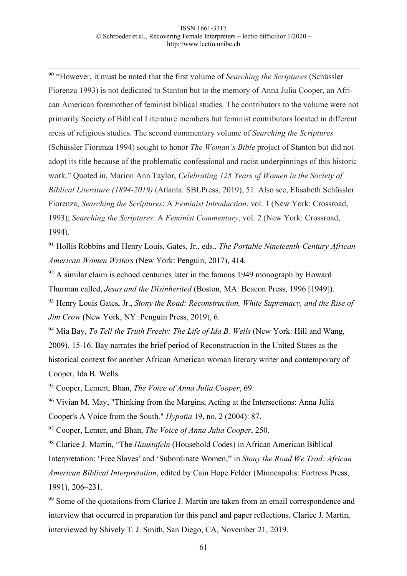90 "However, it must be noted that the first volume of *Searching the Scriptures* (Schüssler Fiorenza 1993) is not dedicated to Stanton but to the memory of Anna Julia Cooper, an African American foremother of feminist biblical studies. The contributors to the volume were not primarily Society of Biblical Literature members but feminist contributors located in different areas of religious studies. The second commentary volume of *Searching the Scriptures*  (Schüssler Fiorenza 1994) sought to honor *The Woman's Bible* project of Stanton but did not adopt its title because of the problematic confessional and racist underpinnings of this historic work." Quoted in, Marion Ann Taylor, *Celebrating 125 Years of Women in the Society of Biblical Literature (1894-2019)* (Atlanta: SBLPress, 2019), 51. Also see, Elisabeth Schüssler Fiorenza, *Searching the Scriptures*: A *Feminist Introduction*, vol. 1 (New York: Crossroad, 1993); *Searching the Scriptures*: A *Feminist Commentary*, vol. 2 (New York: Crossroad, 1994).

<sup>91</sup> Hollis Robbins and Henry Louis, Gates, Jr., eds., *The Portable Nineteenth-Century African American Women Writers* (New York: Penguin, 2017), 414.

 $92$  A similar claim is echoed centuries later in the famous 1949 monograph by Howard Thurman called, *Jesus and the Disinherited* (Boston, MA: Beacon Press, 1996 [1949]).

<sup>93</sup> Henry Louis Gates, Jr., *Stony the Road: Reconstruction, White Supremacy, and the Rise of Jim Crow* (New York, NY: Penguin Press, 2019), 6.

<sup>94</sup> Mia Bay, *To Tell the Truth Freely: The Life of Ida B. Wells* (New York: Hill and Wang, 2009), 15-16. Bay narrates the brief period of Reconstruction in the United States as the historical context for another African American woman literary writer and contemporary of Cooper, Ida B. Wells.

<sup>95</sup> Cooper, Lemert, Bhan, *The Voice of Anna Julia Cooper*, 69.

<sup>96</sup> Vivian M. May, "Thinking from the Margins, Acting at the Intersections: Anna Julia Cooper's A Voice from the South." *Hypatia* 19, no. 2 (2004): 87.

<sup>97</sup> Cooper, Lemer, and Bhan, *The Voice of Anna Julia Cooper*, 250.

<sup>98</sup> Clarice J. Martin, "The *Haustafeln* (Household Codes) in African American Biblical Interpretation: 'Free Slaves' and 'Subordinate Women," in *Stony the Road We Trod: African American Biblical Interpretation*, edited by Cain Hope Felder (Minneapolis: Fortress Press, 1991), 206–231.

<sup>99</sup> Some of the quotations from Clarice J. Martin are taken from an email correspondence and interview that occurred in preparation for this panel and paper reflections. Clarice J. Martin, interviewed by Shively T. J. Smith, San Diego, CA, November 21, 2019.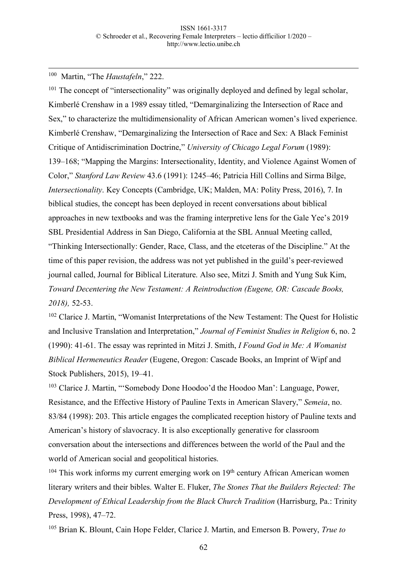100 Martin, "The *Haustafeln*," 222.

<sup>101</sup> The concept of "intersectionality" was originally deployed and defined by legal scholar, Kimberlé Crenshaw in a 1989 essay titled, "Demarginalizing the Intersection of Race and Sex," to characterize the multidimensionality of African American women's lived experience. Kimberlé Crenshaw, "Demarginalizing the Intersection of Race and Sex: A Black Feminist Critique of Antidiscrimination Doctrine," *University of Chicago Legal Forum* (1989): 139–168; "Mapping the Margins: Intersectionality, Identity, and Violence Against Women of Color," *Stanford Law Review* 43.6 (1991): 1245–46; Patricia Hill Collins and Sirma Bilge, *Intersectionality*. Key Concepts (Cambridge, UK; Malden, MA: Polity Press, 2016), 7. In biblical studies, the concept has been deployed in recent conversations about biblical approaches in new textbooks and was the framing interpretive lens for the Gale Yee's 2019 SBL Presidential Address in San Diego, California at the SBL Annual Meeting called, "Thinking Intersectionally: Gender, Race, Class, and the etceteras of the Discipline." At the time of this paper revision, the address was not yet published in the guild's peer-reviewed journal called, Journal for Biblical Literature. Also see, Mitzi J. Smith and Yung Suk Kim, *Toward Decentering the New Testament: A Reintroduction (Eugene, OR: Cascade Books, 2018),* 52-53.

<sup>102</sup> Clarice J. Martin, "Womanist Interpretations of the New Testament: The Quest for Holistic and Inclusive Translation and Interpretation," *Journal of Feminist Studies in Religion* 6, no. 2 (1990): 41-61. The essay was reprinted in Mitzi J. Smith, *I Found God in Me: A Womanist Biblical Hermeneutics Reader* (Eugene, Oregon: Cascade Books, an Imprint of Wipf and Stock Publishers, 2015), 19–41.

<sup>103</sup> Clarice J. Martin, "'Somebody Done Hoodoo'd the Hoodoo Man': Language, Power, Resistance, and the Effective History of Pauline Texts in American Slavery," *Semeia*, no. 83/84 (1998): 203. This article engages the complicated reception history of Pauline texts and American's history of slavocracy. It is also exceptionally generative for classroom conversation about the intersections and differences between the world of the Paul and the world of American social and geopolitical histories.

 $104$  This work informs my current emerging work on  $19<sup>th</sup>$  century African American women literary writers and their bibles. Walter E. Fluker, *The Stones That the Builders Rejected: The Development of Ethical Leadership from the Black Church Tradition* (Harrisburg, Pa.: Trinity Press, 1998), 47–72.

<sup>105</sup> Brian K. Blount, Cain Hope Felder, Clarice J. Martin, and Emerson B. Powery, *True to*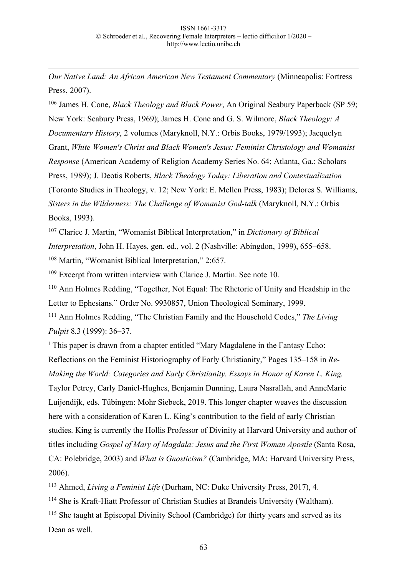*Our Native Land: An African American New Testament Commentary* (Minneapolis: Fortress Press, 2007).

1

<sup>106</sup> James H. Cone, *Black Theology and Black Power*, An Original Seabury Paperback (SP 59; New York: Seabury Press, 1969); James H. Cone and G. S. Wilmore, *Black Theology: A Documentary History*, 2 volumes (Maryknoll, N.Y.: Orbis Books, 1979/1993); Jacquelyn Grant, *White Women's Christ and Black Women's Jesus: Feminist Christology and Womanist Response* (American Academy of Religion Academy Series No. 64; Atlanta, Ga.: Scholars Press, 1989); J. Deotis Roberts, *Black Theology Today: Liberation and Contextualization* (Toronto Studies in Theology, v. 12; New York: E. Mellen Press, 1983); Delores S. Williams, *Sisters in the Wilderness: The Challenge of Womanist God-talk* (Maryknoll, N.Y.: Orbis Books, 1993).

<sup>107</sup> Clarice J. Martin, "Womanist Biblical Interpretation," in *Dictionary of Biblical Interpretation*, John H. Hayes, gen. ed., vol. 2 (Nashville: Abingdon, 1999), 655–658. <sup>108</sup> Martin, "Womanist Biblical Interpretation," 2:657.

 $109$  Excerpt from written interview with Clarice J. Martin. See note 10.

<sup>110</sup> Ann Holmes Redding, "Together, Not Equal: The Rhetoric of Unity and Headship in the Letter to Ephesians." Order No. 9930857, Union Theological Seminary, 1999.

<sup>111</sup> Ann Holmes Redding, "The Christian Family and the Household Codes," *The Living Pulpit* 8.3 (1999): 36–37.

<sup>1</sup> This paper is drawn from a chapter entitled "Mary Magdalene in the Fantasy Echo: Reflections on the Feminist Historiography of Early Christianity," Pages 135–158 in *Re-Making the World: Categories and Early Christianity. Essays in Honor of Karen L. King.*  Taylor Petrey, Carly Daniel-Hughes, Benjamin Dunning, Laura Nasrallah, and AnneMarie Luijendijk, eds. Tübingen: Mohr Siebeck, 2019. This longer chapter weaves the discussion here with a consideration of Karen L. King's contribution to the field of early Christian studies. King is currently the Hollis Professor of Divinity at Harvard University and author of titles including *Gospel of Mary of Magdala: Jesus and the First Woman Apostle* (Santa Rosa, CA: Polebridge, 2003) and *What is Gnosticism?* (Cambridge, MA: Harvard University Press, 2006).

<sup>113</sup> Ahmed, *Living a Feminist Life* (Durham, NC: Duke University Press, 2017), 4.

<sup>114</sup> She is Kraft-Hiatt Professor of Christian Studies at Brandeis University (Waltham).

<sup>115</sup> She taught at Episcopal Divinity School (Cambridge) for thirty years and served as its Dean as well.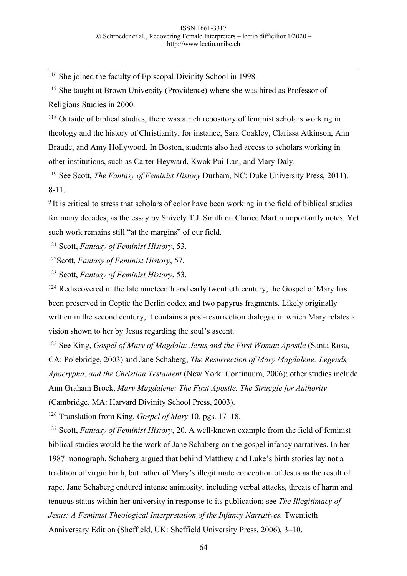116 She joined the faculty of Episcopal Divinity School in 1998.

<sup>117</sup> She taught at Brown University (Providence) where she was hired as Professor of Religious Studies in 2000.

<sup>118</sup> Outside of biblical studies, there was a rich repository of feminist scholars working in theology and the history of Christianity, for instance, Sara Coakley, Clarissa Atkinson, Ann Braude, and Amy Hollywood. In Boston, students also had access to scholars working in other institutions, such as Carter Heyward, Kwok Pui-Lan, and Mary Daly.

<sup>119</sup> See Scott, *The Fantasy of Feminist History* Durham, NC: Duke University Press, 2011). 8-11.

<sup>9</sup> It is critical to stress that scholars of color have been working in the field of biblical studies for many decades, as the essay by Shively T.J. Smith on Clarice Martin importantly notes. Yet such work remains still "at the margins" of our field.

<sup>121</sup> Scott, *Fantasy of Feminist History*, 53.

122Scott, *Fantasy of Feminist History*, 57.

<sup>123</sup> Scott, *Fantasy of Feminist History*, 53.

 $124$  Rediscovered in the late nineteenth and early twentieth century, the Gospel of Mary has been preserved in Coptic the Berlin codex and two papyrus fragments. Likely originally wrttien in the second century, it contains a post-resurrection dialogue in which Mary relates a vision shown to her by Jesus regarding the soul's ascent.

<sup>125</sup> See King, *Gospel of Mary of Magdala: Jesus and the First Woman Apostle* (Santa Rosa, CA: Polebridge, 2003) and Jane Schaberg, *The Resurrection of Mary Magdalene: Legends, Apocrypha, and the Christian Testament* (New York: Continuum, 2006); other studies include Ann Graham Brock, *Mary Magdalene: The First Apostle. The Struggle for Authority*  (Cambridge, MA: Harvard Divinity School Press, 2003).

<sup>126</sup> Translation from King, *Gospel of Mary* 10*,* pgs. 17–18.

<sup>127</sup> Scott, *Fantasy of Feminist History*, 20. A well-known example from the field of feminist biblical studies would be the work of Jane Schaberg on the gospel infancy narratives. In her 1987 monograph, Schaberg argued that behind Matthew and Luke's birth stories lay not a tradition of virgin birth, but rather of Mary's illegitimate conception of Jesus as the result of rape. Jane Schaberg endured intense animosity, including verbal attacks, threats of harm and tenuous status within her university in response to its publication; see *The Illegitimacy of Jesus: A Feminist Theological Interpretation of the Infancy Narratives.* Twentieth Anniversary Edition (Sheffield, UK: Sheffield University Press, 2006), 3–10.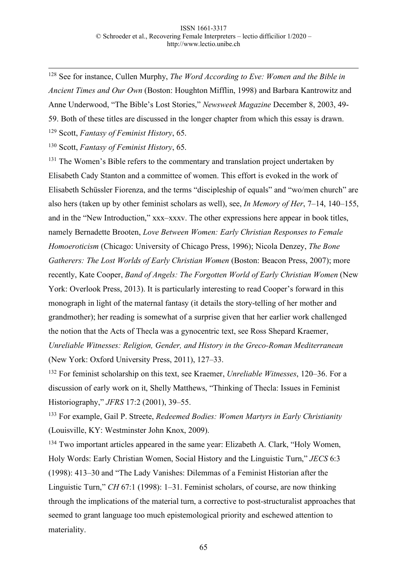128 See for instance, Cullen Murphy, *The Word According to Eve: Women and the Bible in Ancient Times and Our Own* (Boston: Houghton Mifflin, 1998) and Barbara Kantrowitz and Anne Underwood, "The Bible's Lost Stories," *Newsweek Magazine* December 8, 2003, 49- 59. Both of these titles are discussed in the longer chapter from which this essay is drawn.

<sup>129</sup> Scott, *Fantasy of Feminist History*, 65.

<sup>130</sup> Scott, *Fantasy of Feminist History*, 65.

<sup>131</sup> The Women's Bible refers to the commentary and translation project undertaken by Elisabeth Cady Stanton and a committee of women. This effort is evoked in the work of Elisabeth Schüssler Fiorenza, and the terms "discipleship of equals" and "wo/men church" are also hers (taken up by other feminist scholars as well), see, *In Memory of Her*, 7–14, 140–155, and in the "New Introduction," xxx–xxxv. The other expressions here appear in book titles, namely Bernadette Brooten, *Love Between Women: Early Christian Responses to Female Homoeroticism* (Chicago: University of Chicago Press, 1996); Nicola Denzey, *The Bone Gatherers: The Lost Worlds of Early Christian Women (Boston: Beacon Press, 2007); more* recently, Kate Cooper, *Band of Angels: The Forgotten World of Early Christian Women* (New York: Overlook Press, 2013). It is particularly interesting to read Cooper's forward in this monograph in light of the maternal fantasy (it details the story-telling of her mother and grandmother); her reading is somewhat of a surprise given that her earlier work challenged the notion that the Acts of Thecla was a gynocentric text, see Ross Shepard Kraemer, *Unreliable Witnesses: Religion, Gender, and History in the Greco-Roman Mediterranean*  (New York: Oxford University Press, 2011), 127–33.

<sup>132</sup> For feminist scholarship on this text, see Kraemer, *Unreliable Witnesses*, 120–36. For a discussion of early work on it, Shelly Matthews, "Thinking of Thecla: Issues in Feminist Historiography," *JFRS* 17:2 (2001), 39–55.

<sup>133</sup> For example, Gail P. Streete, *Redeemed Bodies: Women Martyrs in Early Christianity*  (Louisville, KY: Westminster John Knox, 2009).

<sup>134</sup> Two important articles appeared in the same year: Elizabeth A. Clark, "Holy Women, Holy Words: Early Christian Women, Social History and the Linguistic Turn," *JECS* 6:3 (1998): 413–30 and "The Lady Vanishes: Dilemmas of a Feminist Historian after the Linguistic Turn," *CH* 67:1 (1998): 1–31. Feminist scholars, of course, are now thinking through the implications of the material turn, a corrective to post-structuralist approaches that seemed to grant language too much epistemological priority and eschewed attention to materiality.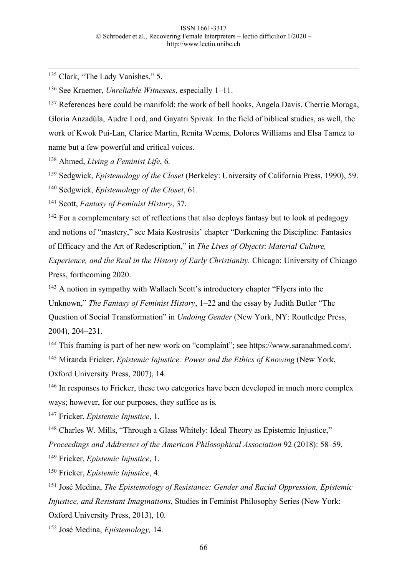<sup>135</sup> Clark, "The Lady Vanishes," 5.

<sup>136</sup> See Kraemer, *Unreliable Witnesses*, especially 1–11.

<sup>137</sup> References here could be manifold: the work of bell hooks, Angela Davis, Cherrie Moraga, Gloria Anzadúla, Audre Lord, and Gayatri Spivak. In the field of biblical studies, as well, the work of Kwok Pui-Lan, Clarice Martin, Renita Weems, Dolores Williams and Elsa Tamez to name but a few powerful and critical voices.

<sup>138</sup> Ahmed, *Living a Feminist Life*, 6.

<sup>139</sup> Sedgwick, *Epistemology of the Closet* (Berkeley: University of California Press, 1990), 59. <sup>140</sup> Sedgwick, *Epistemology of the Closet*, 61.

<sup>141</sup> Scott, *Fantasy of Feminist History*, 37.

<sup>142</sup> For a complementary set of reflections that also deploys fantasy but to look at pedagogy and notions of "mastery," see Maia Kostrosits' chapter "Darkening the Discipline: Fantasies of Efficacy and the Art of Redescription," in *The Lives of Objects*: *Material Culture, Experience, and the Real in the History of Early Christianity.* Chicago: University of Chicago

Press, forthcoming 2020.

<sup>143</sup> A notion in sympathy with Wallach Scott's introductory chapter "Flyers into the Unknown," *The Fantasy of Feminist History*, 1–22 and the essay by Judith Butler "The Question of Social Transformation" in *Undoing Gender* (New York, NY: Routledge Press, 2004), 204–231.

<sup>144</sup> This framing is part of her new work on "complaint"; see https://www.saranahmed.com/.

<sup>145</sup> Miranda Fricker, *Epistemic Injustice: Power and the Ethics of Knowing* (New York,

Oxford University Press, 2007), 14.

<sup>146</sup> In responses to Fricker, these two categories have been developed in much more complex ways; however, for our purposes, they suffice as is.

<sup>147</sup> Fricker, *Epistemic Injustice*, 1.

<sup>148</sup> Charles W. Mills, "Through a Glass Whitely: Ideal Theory as Epistemic Injustice," *Proceedings and Addresses of the American Philosophical Association* 92 (2018): 58–59.

<sup>149</sup> Fricker, *Epistemic Injustice*, 1.

<sup>150</sup> Fricker, *Epistemic Injustice*, 4.

<sup>151</sup> José Medina, *The Epistemology of Resistance: Gender and Racial Oppression, Epistemic Injustice, and Resistant Imaginations*, Studies in Feminist Philosophy Series (New York: Oxford University Press, 2013), 10.

<sup>152</sup> José Medina, *Epistemology,* 14.